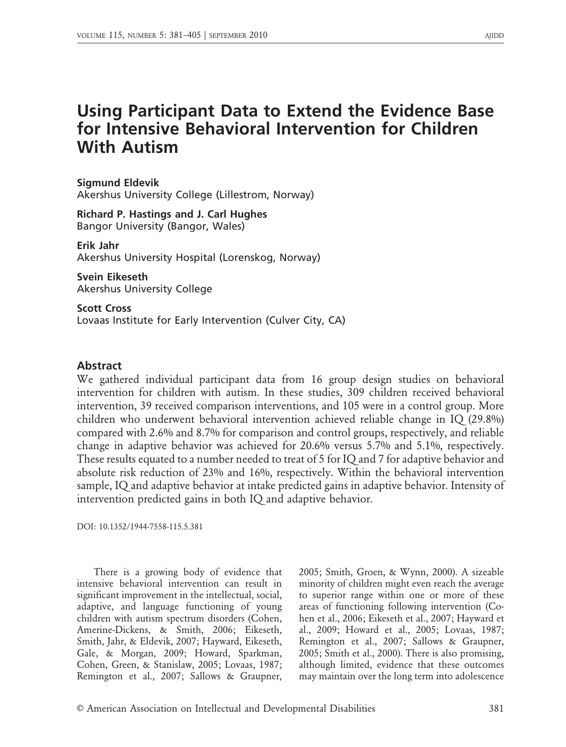# Using Participant Data to Extend the Evidence Base for Intensive Behavioral Intervention for Children With Autism

Sigmund Eldevik Akershus University College (Lillestrom, Norway)

Richard P. Hastings and J. Carl Hughes Bangor University (Bangor, Wales)

Erik Jahr Akershus University Hospital (Lorenskog, Norway)

Svein Eikeseth Akershus University College

# Scott Cross Lovaas Institute for Early Intervention (Culver City, CA)

# Abstract

We gathered individual participant data from 16 group design studies on behavioral intervention for children with autism. In these studies, 309 children received behavioral intervention, 39 received comparison interventions, and 105 were in a control group. More children who underwent behavioral intervention achieved reliable change in IQ (29.8%) compared with 2.6% and 8.7% for comparison and control groups, respectively, and reliable change in adaptive behavior was achieved for 20.6% versus 5.7% and 5.1%, respectively. These results equated to a number needed to treat of 5 for IQ and 7 for adaptive behavior and absolute risk reduction of 23% and 16%, respectively. Within the behavioral intervention sample, IQ and adaptive behavior at intake predicted gains in adaptive behavior. Intensity of intervention predicted gains in both IQ and adaptive behavior.

DOI: 10.1352/1944-7558-115.5.381

There is a growing body of evidence that intensive behavioral intervention can result in significant improvement in the intellectual, social, adaptive, and language functioning of young children with autism spectrum disorders (Cohen, Amerine-Dickens, & Smith, 2006; Eikeseth, Smith, Jahr, & Eldevik, 2007; Hayward, Eikeseth, Gale, & Morgan, 2009; Howard, Sparkman, Cohen, Green, & Stanislaw, 2005; Lovaas, 1987; Remington et al., 2007; Sallows & Graupner,

2005; Smith, Groen, & Wynn, 2000). A sizeable minority of children might even reach the average to superior range within one or more of these areas of functioning following intervention (Cohen et al., 2006; Eikeseth et al., 2007; Hayward et al., 2009; Howard et al., 2005; Lovaas, 1987; Remington et al., 2007; Sallows & Graupner, 2005; Smith et al., 2000). There is also promising, although limited, evidence that these outcomes may maintain over the long term into adolescence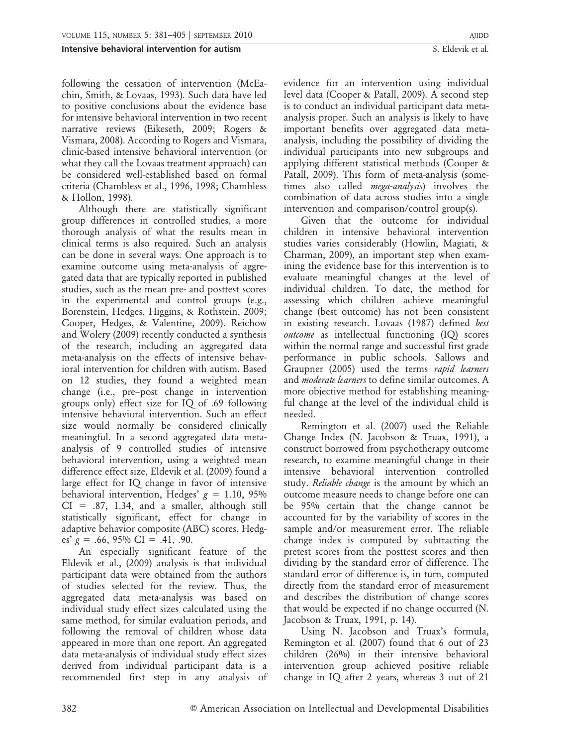following the cessation of intervention (McEachin, Smith, & Lovaas, 1993). Such data have led to positive conclusions about the evidence base for intensive behavioral intervention in two recent narrative reviews (Eikeseth, 2009; Rogers & Vismara, 2008). According to Rogers and Vismara, clinic-based intensive behavioral intervention (or what they call the Lovaas treatment approach) can be considered well-established based on formal criteria (Chambless et al., 1996, 1998; Chambless & Hollon, 1998).

Although there are statistically significant group differences in controlled studies, a more thorough analysis of what the results mean in clinical terms is also required. Such an analysis can be done in several ways. One approach is to examine outcome using meta-analysis of aggregated data that are typically reported in published studies, such as the mean pre- and posttest scores in the experimental and control groups (e.g., Borenstein, Hedges, Higgins, & Rothstein, 2009; Cooper, Hedges, & Valentine, 2009). Reichow and Wolery (2009) recently conducted a synthesis of the research, including an aggregated data meta-analysis on the effects of intensive behavioral intervention for children with autism. Based on 12 studies, they found a weighted mean change (i.e., pre–post change in intervention groups only) effect size for IQ of .69 following intensive behavioral intervention. Such an effect size would normally be considered clinically meaningful. In a second aggregated data metaanalysis of 9 controlled studies of intensive behavioral intervention, using a weighted mean difference effect size, Eldevik et al. (2009) found a large effect for IQ change in favor of intensive behavioral intervention, Hedges'  $g = 1.10, 95\%$  $CI = .87, 1.34, and a smaller, although still$ statistically significant, effect for change in adaptive behavior composite (ABC) scores, Hedges'  $g = .66, 95\%$  CI = .41, .90.

An especially significant feature of the Eldevik et al., (2009) analysis is that individual participant data were obtained from the authors of studies selected for the review. Thus, the aggregated data meta-analysis was based on individual study effect sizes calculated using the same method, for similar evaluation periods, and following the removal of children whose data appeared in more than one report. An aggregated data meta-analysis of individual study effect sizes derived from individual participant data is a recommended first step in any analysis of evidence for an intervention using individual level data (Cooper & Patall, 2009). A second step is to conduct an individual participant data metaanalysis proper. Such an analysis is likely to have important benefits over aggregated data metaanalysis, including the possibility of dividing the individual participants into new subgroups and applying different statistical methods (Cooper & Patall, 2009). This form of meta-analysis (sometimes also called *mega-analysis*) involves the combination of data across studies into a single intervention and comparison/control group(s).

Given that the outcome for individual children in intensive behavioral intervention studies varies considerably (Howlin, Magiati, & Charman, 2009), an important step when examining the evidence base for this intervention is to evaluate meaningful changes at the level of individual children. To date, the method for assessing which children achieve meaningful change (best outcome) has not been consistent in existing research. Lovaas (1987) defined *best* outcome as intellectual functioning (IQ) scores within the normal range and successful first grade performance in public schools. Sallows and Graupner (2005) used the terms rapid learners and *moderate learners* to define similar outcomes. A more objective method for establishing meaningful change at the level of the individual child is needed.

Remington et al. (2007) used the Reliable Change Index (N. Jacobson & Truax, 1991), a construct borrowed from psychotherapy outcome research, to examine meaningful change in their intensive behavioral intervention controlled study. Reliable change is the amount by which an outcome measure needs to change before one can be 95% certain that the change cannot be accounted for by the variability of scores in the sample and/or measurement error. The reliable change index is computed by subtracting the pretest scores from the posttest scores and then dividing by the standard error of difference. The standard error of difference is, in turn, computed directly from the standard error of measurement and describes the distribution of change scores that would be expected if no change occurred (N. Jacobson & Truax, 1991, p. 14).

Using N. Jacobson and Truax's formula, Remington et al. (2007) found that 6 out of 23 children (26%) in their intensive behavioral intervention group achieved positive reliable change in IQ after 2 years, whereas 3 out of 21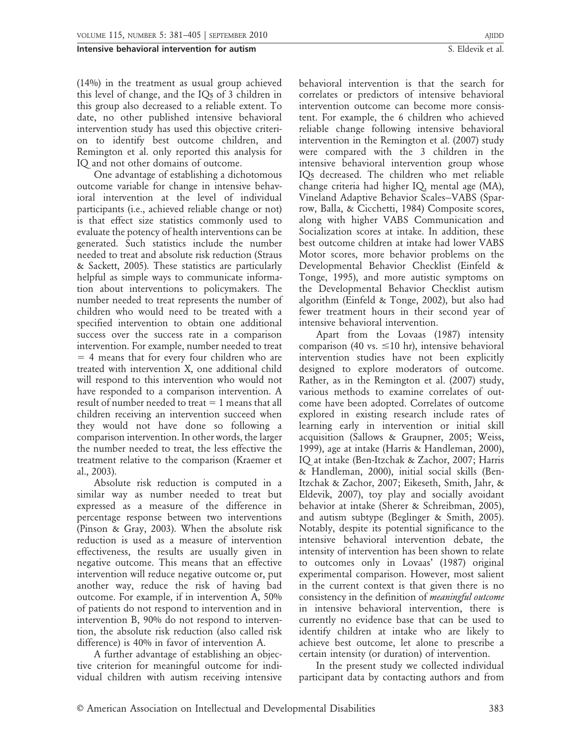(14%) in the treatment as usual group achieved this level of change, and the IQs of 3 children in this group also decreased to a reliable extent. To date, no other published intensive behavioral intervention study has used this objective criterion to identify best outcome children, and Remington et al. only reported this analysis for IQ and not other domains of outcome.

One advantage of establishing a dichotomous outcome variable for change in intensive behavioral intervention at the level of individual participants (i.e., achieved reliable change or not) is that effect size statistics commonly used to evaluate the potency of health interventions can be generated. Such statistics include the number needed to treat and absolute risk reduction (Straus & Sackett, 2005). These statistics are particularly helpful as simple ways to communicate information about interventions to policymakers. The number needed to treat represents the number of children who would need to be treated with a specified intervention to obtain one additional success over the success rate in a comparison intervention. For example, number needed to treat  $=$  4 means that for every four children who are treated with intervention X, one additional child will respond to this intervention who would not have responded to a comparison intervention. A result of number needed to treat  $= 1$  means that all children receiving an intervention succeed when they would not have done so following a comparison intervention. In other words, the larger the number needed to treat, the less effective the treatment relative to the comparison (Kraemer et al., 2003).

Absolute risk reduction is computed in a similar way as number needed to treat but expressed as a measure of the difference in percentage response between two interventions (Pinson & Gray, 2003). When the absolute risk reduction is used as a measure of intervention effectiveness, the results are usually given in negative outcome. This means that an effective intervention will reduce negative outcome or, put another way, reduce the risk of having bad outcome. For example, if in intervention A, 50% of patients do not respond to intervention and in intervention B, 90% do not respond to intervention, the absolute risk reduction (also called risk difference) is 40% in favor of intervention A.

A further advantage of establishing an objective criterion for meaningful outcome for individual children with autism receiving intensive

behavioral intervention is that the search for correlates or predictors of intensive behavioral intervention outcome can become more consistent. For example, the 6 children who achieved reliable change following intensive behavioral intervention in the Remington et al. (2007) study were compared with the 3 children in the intensive behavioral intervention group whose IQs decreased. The children who met reliable change criteria had higher IQ, mental age (MA), Vineland Adaptive Behavior Scales—VABS (Sparrow, Balla, & Cicchetti, 1984) Composite scores, along with higher VABS Communication and Socialization scores at intake. In addition, these best outcome children at intake had lower VABS Motor scores, more behavior problems on the Developmental Behavior Checklist (Einfeld & Tonge, 1995), and more autistic symptoms on the Developmental Behavior Checklist autism algorithm (Einfeld & Tonge, 2002), but also had fewer treatment hours in their second year of intensive behavioral intervention.

Apart from the Lovaas (1987) intensity comparison (40 vs.  $\leq$ 10 hr), intensive behavioral intervention studies have not been explicitly designed to explore moderators of outcome. Rather, as in the Remington et al. (2007) study, various methods to examine correlates of outcome have been adopted. Correlates of outcome explored in existing research include rates of learning early in intervention or initial skill acquisition (Sallows & Graupner, 2005; Weiss, 1999), age at intake (Harris & Handleman, 2000), IQ at intake (Ben-Itzchak & Zachor, 2007; Harris & Handleman, 2000), initial social skills (Ben-Itzchak & Zachor, 2007; Eikeseth, Smith, Jahr, & Eldevik, 2007), toy play and socially avoidant behavior at intake (Sherer & Schreibman, 2005), and autism subtype (Beglinger & Smith, 2005). Notably, despite its potential significance to the intensive behavioral intervention debate, the intensity of intervention has been shown to relate to outcomes only in Lovaas' (1987) original experimental comparison. However, most salient in the current context is that given there is no consistency in the definition of meaningful outcome in intensive behavioral intervention, there is currently no evidence base that can be used to identify children at intake who are likely to achieve best outcome, let alone to prescribe a certain intensity (or duration) of intervention.

In the present study we collected individual participant data by contacting authors and from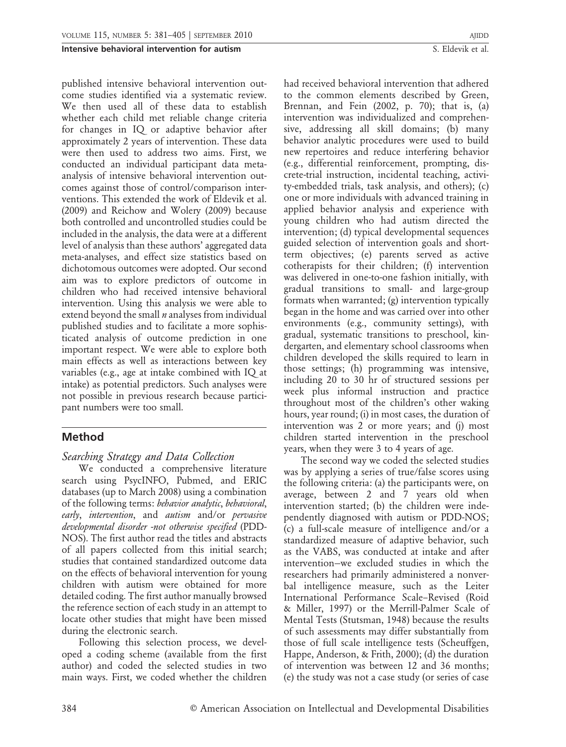published intensive behavioral intervention outcome studies identified via a systematic review. We then used all of these data to establish whether each child met reliable change criteria for changes in IQ or adaptive behavior after approximately 2 years of intervention. These data were then used to address two aims. First, we conducted an individual participant data metaanalysis of intensive behavioral intervention outcomes against those of control/comparison interventions. This extended the work of Eldevik et al. (2009) and Reichow and Wolery (2009) because both controlled and uncontrolled studies could be included in the analysis, the data were at a different level of analysis than these authors' aggregated data meta-analyses, and effect size statistics based on dichotomous outcomes were adopted. Our second aim was to explore predictors of outcome in children who had received intensive behavioral intervention. Using this analysis we were able to extend beyond the small  $n$  analyses from individual published studies and to facilitate a more sophisticated analysis of outcome prediction in one important respect. We were able to explore both main effects as well as interactions between key variables (e.g., age at intake combined with IQ at intake) as potential predictors. Such analyses were not possible in previous research because participant numbers were too small.

# Method

#### Searching Strategy and Data Collection

We conducted a comprehensive literature search using PsycINFO, Pubmed, and ERIC databases (up to March 2008) using a combination of the following terms: behavior analytic, behavioral, early, intervention, and autism and/or pervasive developmental disorder -not otherwise specified (PDD-NOS). The first author read the titles and abstracts of all papers collected from this initial search; studies that contained standardized outcome data on the effects of behavioral intervention for young children with autism were obtained for more detailed coding. The first author manually browsed the reference section of each study in an attempt to locate other studies that might have been missed during the electronic search.

Following this selection process, we developed a coding scheme (available from the first author) and coded the selected studies in two main ways. First, we coded whether the children

had received behavioral intervention that adhered to the common elements described by Green, Brennan, and Fein (2002, p. 70); that is, (a) intervention was individualized and comprehensive, addressing all skill domains; (b) many behavior analytic procedures were used to build new repertoires and reduce interfering behavior (e.g., differential reinforcement, prompting, discrete-trial instruction, incidental teaching, activity-embedded trials, task analysis, and others); (c) one or more individuals with advanced training in applied behavior analysis and experience with young children who had autism directed the intervention; (d) typical developmental sequences guided selection of intervention goals and shortterm objectives; (e) parents served as active cotherapists for their children; (f) intervention was delivered in one-to-one fashion initially, with gradual transitions to small- and large-group formats when warranted; (g) intervention typically began in the home and was carried over into other environments (e.g., community settings), with gradual, systematic transitions to preschool, kindergarten, and elementary school classrooms when children developed the skills required to learn in those settings; (h) programming was intensive, including 20 to 30 hr of structured sessions per week plus informal instruction and practice throughout most of the children's other waking hours, year round; (i) in most cases, the duration of intervention was 2 or more years; and (j) most children started intervention in the preschool years, when they were 3 to 4 years of age.

The second way we coded the selected studies was by applying a series of true/false scores using the following criteria: (a) the participants were, on average, between 2 and 7 years old when intervention started; (b) the children were independently diagnosed with autism or PDD-NOS; (c) a full-scale measure of intelligence and/or a standardized measure of adaptive behavior, such as the VABS, was conducted at intake and after intervention—we excluded studies in which the researchers had primarily administered a nonverbal intelligence measure, such as the Leiter International Performance Scale–Revised (Roid & Miller, 1997) or the Merrill-Palmer Scale of Mental Tests (Stutsman, 1948) because the results of such assessments may differ substantially from those of full scale intelligence tests (Scheuffgen, Happe, Anderson, & Frith, 2000); (d) the duration of intervention was between 12 and 36 months; (e) the study was not a case study (or series of case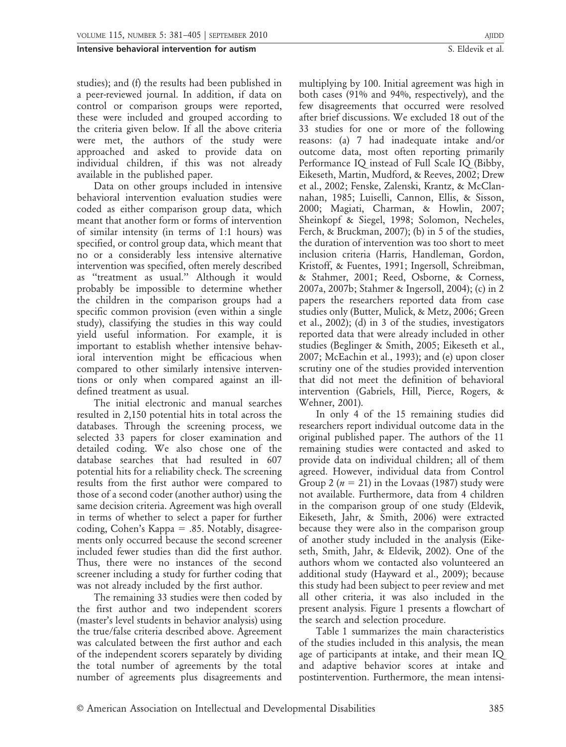studies); and (f) the results had been published in a peer-reviewed journal. In addition, if data on control or comparison groups were reported, these were included and grouped according to the criteria given below. If all the above criteria were met, the authors of the study were approached and asked to provide data on individual children, if this was not already available in the published paper.

Data on other groups included in intensive behavioral intervention evaluation studies were coded as either comparison group data, which meant that another form or forms of intervention of similar intensity (in terms of 1:1 hours) was specified, or control group data, which meant that no or a considerably less intensive alternative intervention was specified, often merely described as ''treatment as usual.'' Although it would probably be impossible to determine whether the children in the comparison groups had a specific common provision (even within a single study), classifying the studies in this way could yield useful information. For example, it is important to establish whether intensive behavioral intervention might be efficacious when compared to other similarly intensive interventions or only when compared against an illdefined treatment as usual.

The initial electronic and manual searches resulted in 2,150 potential hits in total across the databases. Through the screening process, we selected 33 papers for closer examination and detailed coding. We also chose one of the database searches that had resulted in 607 potential hits for a reliability check. The screening results from the first author were compared to those of a second coder (another author) using the same decision criteria. Agreement was high overall in terms of whether to select a paper for further coding, Cohen's Kappa  $= .85$ . Notably, disagreements only occurred because the second screener included fewer studies than did the first author. Thus, there were no instances of the second screener including a study for further coding that was not already included by the first author.

The remaining 33 studies were then coded by the first author and two independent scorers (master's level students in behavior analysis) using the true/false criteria described above. Agreement was calculated between the first author and each of the independent scorers separately by dividing the total number of agreements by the total number of agreements plus disagreements and

multiplying by 100. Initial agreement was high in both cases (91% and 94%, respectively), and the few disagreements that occurred were resolved after brief discussions. We excluded 18 out of the 33 studies for one or more of the following reasons: (a) 7 had inadequate intake and/or outcome data, most often reporting primarily Performance IQ instead of Full Scale IQ (Bibby, Eikeseth, Martin, Mudford, & Reeves, 2002; Drew et al., 2002; Fenske, Zalenski, Krantz, & McClannahan, 1985; Luiselli, Cannon, Ellis, & Sisson, 2000; Magiati, Charman, & Howlin, 2007; Sheinkopf & Siegel, 1998; Solomon, Necheles, Ferch, & Bruckman, 2007); (b) in 5 of the studies, the duration of intervention was too short to meet inclusion criteria (Harris, Handleman, Gordon, Kristoff, & Fuentes, 1991; Ingersoll, Schreibman, & Stahmer, 2001; Reed, Osborne, & Corness, 2007a, 2007b; Stahmer & Ingersoll, 2004); (c) in 2 papers the researchers reported data from case studies only (Butter, Mulick, & Metz, 2006; Green et al., 2002); (d) in 3 of the studies, investigators reported data that were already included in other studies (Beglinger & Smith, 2005; Eikeseth et al., 2007; McEachin et al., 1993); and (e) upon closer scrutiny one of the studies provided intervention that did not meet the definition of behavioral intervention (Gabriels, Hill, Pierce, Rogers, & Wehner, 2001).

In only 4 of the 15 remaining studies did researchers report individual outcome data in the original published paper. The authors of the 11 remaining studies were contacted and asked to provide data on individual children; all of them agreed. However, individual data from Control Group 2 ( $n = 21$ ) in the Lovaas (1987) study were not available. Furthermore, data from 4 children in the comparison group of one study (Eldevik, Eikeseth, Jahr, & Smith, 2006) were extracted because they were also in the comparison group of another study included in the analysis (Eikeseth, Smith, Jahr, & Eldevik, 2002). One of the authors whom we contacted also volunteered an additional study (Hayward et al., 2009); because this study had been subject to peer review and met all other criteria, it was also included in the present analysis. Figure 1 presents a flowchart of the search and selection procedure.

Table 1 summarizes the main characteristics of the studies included in this analysis, the mean age of participants at intake, and their mean IQ and adaptive behavior scores at intake and postintervention. Furthermore, the mean intensi-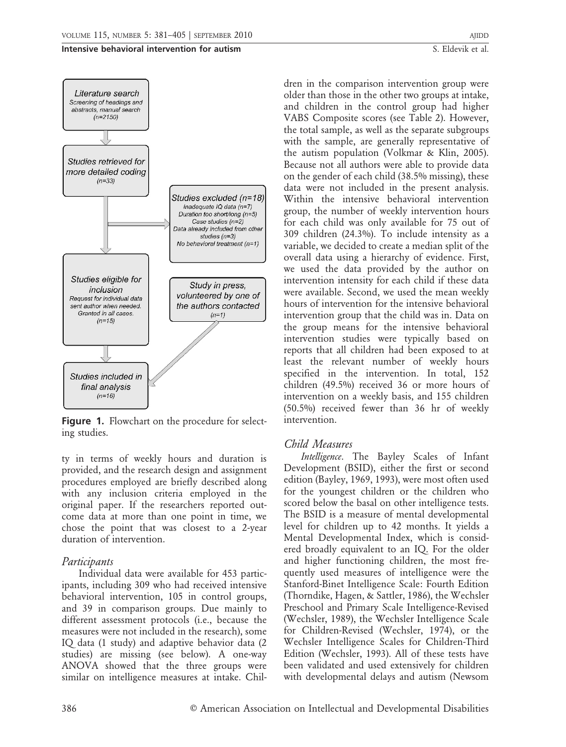

Figure 1. Flowchart on the procedure for selecting studies.

ty in terms of weekly hours and duration is provided, and the research design and assignment procedures employed are briefly described along with any inclusion criteria employed in the original paper. If the researchers reported outcome data at more than one point in time, we chose the point that was closest to a 2-year duration of intervention.

#### Participants

Individual data were available for 453 participants, including 309 who had received intensive behavioral intervention, 105 in control groups, and 39 in comparison groups. Due mainly to different assessment protocols (i.e., because the measures were not included in the research), some IQ data (1 study) and adaptive behavior data (2 studies) are missing (see below). A one-way ANOVA showed that the three groups were similar on intelligence measures at intake. Children in the comparison intervention group were older than those in the other two groups at intake, and children in the control group had higher VABS Composite scores (see Table 2). However, the total sample, as well as the separate subgroups with the sample, are generally representative of the autism population (Volkmar & Klin, 2005). Because not all authors were able to provide data on the gender of each child (38.5% missing), these data were not included in the present analysis. Within the intensive behavioral intervention group, the number of weekly intervention hours for each child was only available for 75 out of 309 children (24.3%). To include intensity as a variable, we decided to create a median split of the overall data using a hierarchy of evidence. First, we used the data provided by the author on intervention intensity for each child if these data were available. Second, we used the mean weekly hours of intervention for the intensive behavioral intervention group that the child was in. Data on the group means for the intensive behavioral intervention studies were typically based on reports that all children had been exposed to at least the relevant number of weekly hours specified in the intervention. In total, 152 children (49.5%) received 36 or more hours of intervention on a weekly basis, and 155 children (50.5%) received fewer than 36 hr of weekly intervention.

#### Child Measures

Intelligence. The Bayley Scales of Infant Development (BSID), either the first or second edition (Bayley, 1969, 1993), were most often used for the youngest children or the children who scored below the basal on other intelligence tests. The BSID is a measure of mental developmental level for children up to 42 months. It yields a Mental Developmental Index, which is considered broadly equivalent to an IQ. For the older and higher functioning children, the most frequently used measures of intelligence were the Stanford-Binet Intelligence Scale: Fourth Edition (Thorndike, Hagen, & Sattler, 1986), the Wechsler Preschool and Primary Scale Intelligence-Revised (Wechsler, 1989), the Wechsler Intelligence Scale for Children-Revised (Wechsler, 1974), or the Wechsler Intelligence Scales for Children-Third Edition (Wechsler, 1993). All of these tests have been validated and used extensively for children with developmental delays and autism (Newsom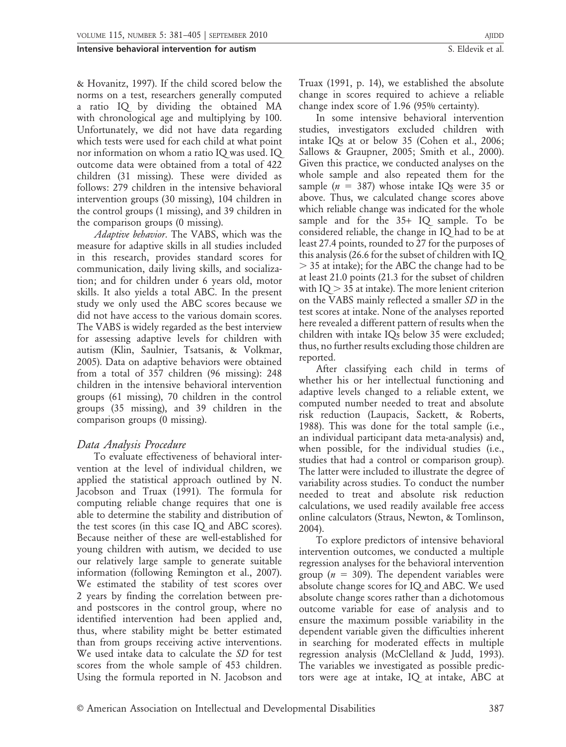& Hovanitz, 1997). If the child scored below the norms on a test, researchers generally computed a ratio IQ by dividing the obtained MA with chronological age and multiplying by 100. Unfortunately, we did not have data regarding which tests were used for each child at what point nor information on whom a ratio IQ was used. IQ outcome data were obtained from a total of 422 children (31 missing). These were divided as follows: 279 children in the intensive behavioral intervention groups (30 missing), 104 children in the control groups (1 missing), and 39 children in

the comparison groups (0 missing). Adaptive behavior. The VABS, which was the measure for adaptive skills in all studies included in this research, provides standard scores for communication, daily living skills, and socialization; and for children under 6 years old, motor skills. It also yields a total ABC. In the present study we only used the ABC scores because we did not have access to the various domain scores. The VABS is widely regarded as the best interview for assessing adaptive levels for children with autism (Klin, Saulnier, Tsatsanis, & Volkmar, 2005). Data on adaptive behaviors were obtained from a total of 357 children (96 missing): 248 children in the intensive behavioral intervention groups (61 missing), 70 children in the control groups (35 missing), and 39 children in the comparison groups (0 missing).

# Data Analysis Procedure

To evaluate effectiveness of behavioral intervention at the level of individual children, we applied the statistical approach outlined by N. Jacobson and Truax (1991). The formula for computing reliable change requires that one is able to determine the stability and distribution of the test scores (in this case IQ and ABC scores). Because neither of these are well-established for young children with autism, we decided to use our relatively large sample to generate suitable information (following Remington et al., 2007). We estimated the stability of test scores over 2 years by finding the correlation between preand postscores in the control group, where no identified intervention had been applied and, thus, where stability might be better estimated than from groups receiving active interventions. We used intake data to calculate the SD for test scores from the whole sample of 453 children. Using the formula reported in N. Jacobson and

Truax (1991, p. 14), we established the absolute change in scores required to achieve a reliable change index score of 1.96 (95% certainty).

In some intensive behavioral intervention studies, investigators excluded children with intake IQs at or below 35 (Cohen et al., 2006; Sallows & Graupner, 2005; Smith et al., 2000). Given this practice, we conducted analyses on the whole sample and also repeated them for the sample ( $n = 387$ ) whose intake IQs were 35 or above. Thus, we calculated change scores above which reliable change was indicated for the whole sample and for the 35+ IQ sample. To be considered reliable, the change in IQ had to be at least 27.4 points, rounded to 27 for the purposes of this analysis (26.6 for the subset of children with IQ . 35 at intake); for the ABC the change had to be at least 21.0 points (21.3 for the subset of children with  $IQ > 35$  at intake). The more lenient criterion on the VABS mainly reflected a smaller SD in the test scores at intake. None of the analyses reported here revealed a different pattern of results when the children with intake IQs below 35 were excluded; thus, no further results excluding those children are reported.

After classifying each child in terms of whether his or her intellectual functioning and adaptive levels changed to a reliable extent, we computed number needed to treat and absolute risk reduction (Laupacis, Sackett, & Roberts, 1988). This was done for the total sample (i.e., an individual participant data meta-analysis) and, when possible, for the individual studies (i.e., studies that had a control or comparison group). The latter were included to illustrate the degree of variability across studies. To conduct the number needed to treat and absolute risk reduction calculations, we used readily available free access online calculators (Straus, Newton, & Tomlinson, 2004).

To explore predictors of intensive behavioral intervention outcomes, we conducted a multiple regression analyses for the behavioral intervention group ( $n = 309$ ). The dependent variables were absolute change scores for IQ and ABC. We used absolute change scores rather than a dichotomous outcome variable for ease of analysis and to ensure the maximum possible variability in the dependent variable given the difficulties inherent in searching for moderated effects in multiple regression analysis (McClelland & Judd, 1993). The variables we investigated as possible predictors were age at intake, IQ at intake, ABC at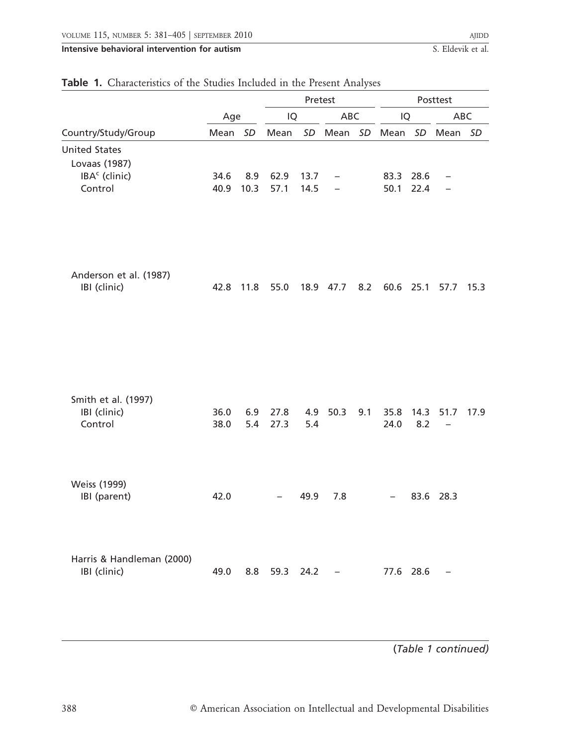|                                                                               | Pretest      |             | Posttest          |              |                                                      |     |              |              |                           |           |
|-------------------------------------------------------------------------------|--------------|-------------|-------------------|--------------|------------------------------------------------------|-----|--------------|--------------|---------------------------|-----------|
|                                                                               | Age          |             | IQ                |              | ABC                                                  |     | IQ           |              | ABC                       |           |
| Country/Study/Group                                                           | Mean SD      |             | Mean              |              | SD Mean SD Mean SD                                   |     |              |              | Mean                      | <b>SD</b> |
| <b>United States</b><br>Lovaas (1987)<br>IBA <sup>c</sup> (clinic)<br>Control | 34.6<br>40.9 | 8.9<br>10.3 | 62.9<br>57.1      | 13.7<br>14.5 | $\overline{\phantom{0}}$<br>$\overline{\phantom{0}}$ |     | 83.3<br>50.1 | 28.6<br>22.4 |                           |           |
| Anderson et al. (1987)<br>IBI (clinic)                                        | 42.8         | 11.8        | 55.0              |              | 18.9 47.7                                            | 8.2 | 60.6         | 25.1         | 57.7                      | 15.3      |
| Smith et al. (1997)<br>IBI (clinic)<br>Control                                | 36.0<br>38.0 | 6.9<br>5.4  | 27.8<br>27.3      | 4.9<br>5.4   | 50.3                                                 | 9.1 | 35.8<br>24.0 | 14.3<br>8.2  | 51.7<br>$\qquad \qquad -$ | 17.9      |
| Weiss (1999)<br>IBI (parent)                                                  | 42.0         |             |                   | 49.9         | 7.8                                                  |     |              | 83.6         | 28.3                      |           |
| Harris & Handleman (2000)<br>IBI (clinic)                                     | 49.0         |             | $8.8$ 59.3 24.2 - |              |                                                      |     | 77.6 28.6    |              |                           |           |

# Table 1. Characteristics of the Studies Included in the Present Analyses

(Table 1 continued)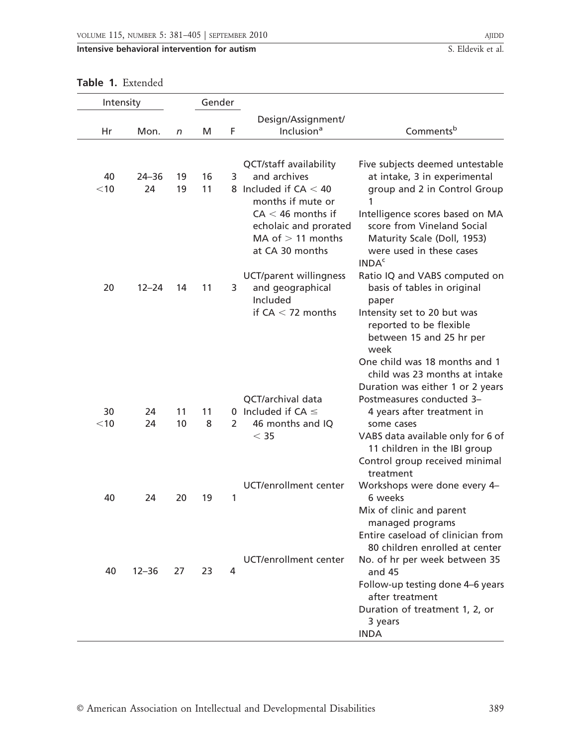|  | Table 1. Extended |
|--|-------------------|
|--|-------------------|

| Intensity    |                 |          | Gender   |   |                                                                                        |                                                                                                                                               |
|--------------|-----------------|----------|----------|---|----------------------------------------------------------------------------------------|-----------------------------------------------------------------------------------------------------------------------------------------------|
| Hr           | Mon.            | n        | M        | F | Design/Assignment/<br>Inclusion <sup>a</sup>                                           | Comments <sup>b</sup>                                                                                                                         |
|              |                 |          |          |   | QCT/staff availability                                                                 | Five subjects deemed untestable                                                                                                               |
| 40<br>$<$ 10 | $24 - 36$<br>24 | 19<br>19 | 16<br>11 | 3 | and archives<br>8 Included if $CA < 40$<br>months if mute or                           | at intake, 3 in experimental<br>group and 2 in Control Group<br>1                                                                             |
|              |                 |          |          |   | $CA < 46$ months if<br>echolaic and prorated<br>MA of $> 11$ months<br>at CA 30 months | Intelligence scores based on MA<br>score from Vineland Social<br>Maturity Scale (Doll, 1953)<br>were used in these cases<br>INDA <sup>c</sup> |
| 20           | $12 - 24$       | 14       | 11       | 3 | UCT/parent willingness<br>and geographical<br>Included<br>if $CA < 72$ months          | Ratio IQ and VABS computed on<br>basis of tables in original<br>paper<br>Intensity set to 20 but was                                          |
|              |                 |          |          |   |                                                                                        | reported to be flexible<br>between 15 and 25 hr per<br>week                                                                                   |
|              |                 |          |          |   |                                                                                        | One child was 18 months and 1<br>child was 23 months at intake<br>Duration was either 1 or 2 years                                            |
| 30           | 24              | 11       | 11       |   | QCT/archival data<br>0 Included if $CA \leq$                                           | Postmeasures conducted 3-<br>4 years after treatment in                                                                                       |
| $<$ 10       | 24              | 10       | 8        | 2 | 46 months and IQ                                                                       | some cases                                                                                                                                    |
|              |                 |          |          |   | $<$ 35                                                                                 | VABS data available only for 6 of<br>11 children in the IBI group<br>Control group received minimal<br>treatment                              |
| 40           | 24              | 20       | 19       | 1 | UCT/enrollment center                                                                  | Workshops were done every 4-<br>6 weeks                                                                                                       |
|              |                 |          |          |   |                                                                                        | Mix of clinic and parent<br>managed programs                                                                                                  |
|              |                 |          |          |   |                                                                                        | Entire caseload of clinician from<br>80 children enrolled at center                                                                           |
| 40           | $12 - 36$       | 27       | 23       | 4 | UCT/enrollment center                                                                  | No. of hr per week between 35<br>and 45                                                                                                       |
|              |                 |          |          |   |                                                                                        | Follow-up testing done 4-6 years<br>after treatment<br>Duration of treatment 1, 2, or                                                         |
|              |                 |          |          |   |                                                                                        | 3 years<br><b>INDA</b>                                                                                                                        |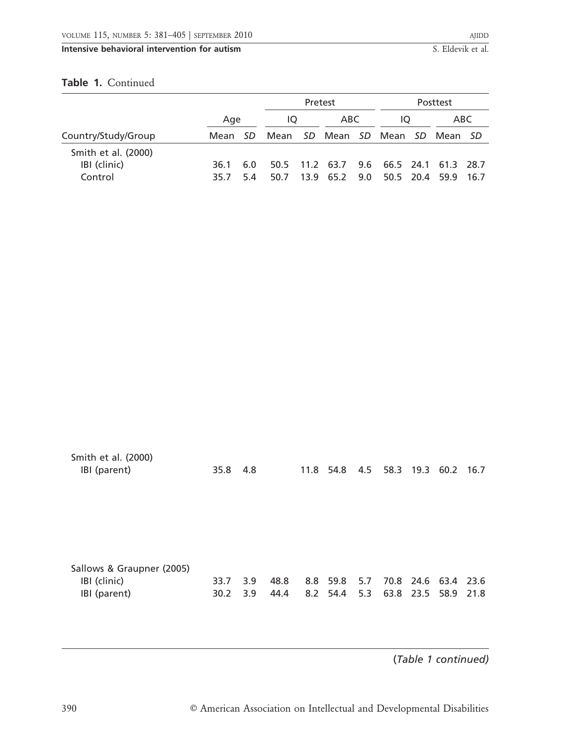## Table 1. Continued

|                     |         |     |      | Pretest<br>Posttest |                                                          |      |                         |    |                |        |
|---------------------|---------|-----|------|---------------------|----------------------------------------------------------|------|-------------------------|----|----------------|--------|
|                     |         | Age |      | IO                  |                                                          | ABC. |                         | IO |                | ABC    |
| Country/Study/Group | Mean SD |     | Mean |                     | - <i>SD</i> Mean <i>SD</i> Mean <i>SD</i> Mean <i>SD</i> |      |                         |    |                |        |
| Smith et al. (2000) |         |     |      |                     |                                                          |      |                         |    |                |        |
| IBI (clinic)        | 36.1    | 6.0 |      |                     | 50.5 11.2 63.7                                           |      | 9.6 66.5 24.1 61.3 28.7 |    |                |        |
| Control             | 35.7    | 54  | 50.7 | 13.9                | 65.2 9.0                                                 |      |                         |    | 50.5 20.4 59.9 | - 16 7 |

| Smith et al. (2000)       |      |     |      |           |     |                         |      |                     |      |
|---------------------------|------|-----|------|-----------|-----|-------------------------|------|---------------------|------|
| IBI (parent)              | 35.8 | 4.8 |      | 11.8 54.8 |     | 4.5 58.3 19.3 60.2 16.7 |      |                     |      |
|                           |      |     |      |           |     |                         |      |                     |      |
|                           |      |     |      |           |     |                         |      |                     |      |
|                           |      |     |      |           |     |                         |      |                     |      |
|                           |      |     |      |           |     |                         |      |                     |      |
|                           |      |     |      |           |     |                         |      |                     |      |
|                           |      |     |      |           |     |                         |      |                     |      |
| Sallows & Graupner (2005) |      |     |      |           |     |                         |      |                     |      |
| IBI (clinic)              | 33.7 | 3.9 | 48.8 | 8.8 59.8  | 5.7 |                         |      | 70.8 24.6 63.4 23.6 |      |
| IBI (parent)              | 30.2 | 3.9 | 44.4 | 8.2 54.4  | 5.3 | 63.8                    | 23.5 | 58.9                | 21.8 |
|                           |      |     |      |           |     |                         |      |                     |      |
|                           |      |     |      |           |     |                         |      |                     |      |

(Table 1 continued)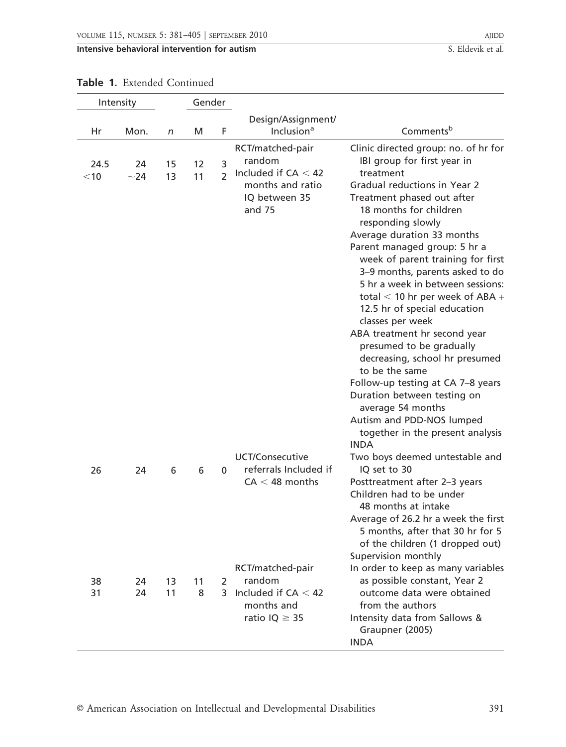|                | Intensity |          | Gender   |                     |                                                                                                    |                                                                                                                                                                                                                                                                                                                                                                                                                                                                                                                                                                                                                                                                                                        |
|----------------|-----------|----------|----------|---------------------|----------------------------------------------------------------------------------------------------|--------------------------------------------------------------------------------------------------------------------------------------------------------------------------------------------------------------------------------------------------------------------------------------------------------------------------------------------------------------------------------------------------------------------------------------------------------------------------------------------------------------------------------------------------------------------------------------------------------------------------------------------------------------------------------------------------------|
| Hr             | Mon.      | n        | M        | F                   | Design/Assignment/<br><b>Inclusion</b> <sup>a</sup>                                                | Commentsb                                                                                                                                                                                                                                                                                                                                                                                                                                                                                                                                                                                                                                                                                              |
| 24.5<br>$<$ 10 | 24<br>~24 | 15<br>13 | 12<br>11 | 3<br>$\overline{2}$ | RCT/matched-pair<br>random<br>Included if $CA < 42$<br>months and ratio<br>IQ between 35<br>and 75 | Clinic directed group: no. of hr for<br>IBI group for first year in<br>treatment<br>Gradual reductions in Year 2<br>Treatment phased out after<br>18 months for children<br>responding slowly<br>Average duration 33 months<br>Parent managed group: 5 hr a<br>week of parent training for first<br>3-9 months, parents asked to do<br>5 hr a week in between sessions:<br>total $<$ 10 hr per week of ABA +<br>12.5 hr of special education<br>classes per week<br>ABA treatment hr second year<br>presumed to be gradually<br>decreasing, school hr presumed<br>to be the same<br>Follow-up testing at CA 7-8 years<br>Duration between testing on<br>average 54 months<br>Autism and PDD-NOS lumped |
| 26             | 24        | 6        | 6        | $\mathbf{0}$        | UCT/Consecutive<br>referrals Included if<br>$CA < 48$ months                                       | together in the present analysis<br><b>INDA</b><br>Two boys deemed untestable and<br>IQ set to 30<br>Posttreatment after 2-3 years<br>Children had to be under<br>48 months at intake<br>Average of 26.2 hr a week the first<br>5 months, after that 30 hr for 5                                                                                                                                                                                                                                                                                                                                                                                                                                       |
| 38<br>31       | 24<br>24  | 13<br>11 | 11<br>8  | $\overline{2}$<br>3 | RCT/matched-pair<br>random<br>Included if $CA < 42$<br>months and<br>ratio IQ $\geq$ 35            | of the children (1 dropped out)<br>Supervision monthly<br>In order to keep as many variables<br>as possible constant, Year 2<br>outcome data were obtained<br>from the authors<br>Intensity data from Sallows &<br>Graupner (2005)<br><b>INDA</b>                                                                                                                                                                                                                                                                                                                                                                                                                                                      |

# Table 1. Extended Continued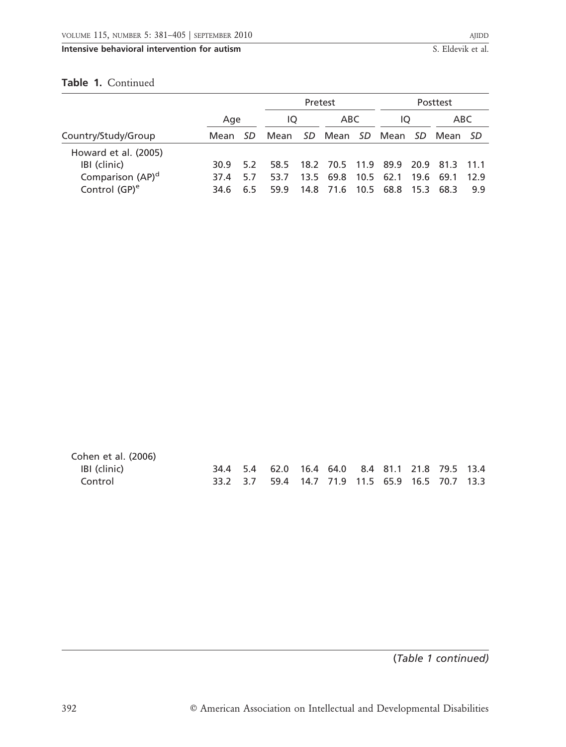### Table 1. Continued

|                              |      |     |      | Pretest<br>Posttest |                               |      |      |     |           |     |  |  |
|------------------------------|------|-----|------|---------------------|-------------------------------|------|------|-----|-----------|-----|--|--|
|                              | Age  |     |      | IO                  |                               | ABC  | IО   |     | ABC       |     |  |  |
| Country/Study/Group          | Mean | SD  | Mean | SD.                 | Mean <i>SD</i> Mean <i>SD</i> |      |      |     | Mean SD   |     |  |  |
| Howard et al. (2005)         |      |     |      |                     |                               |      |      |     |           |     |  |  |
| IBI (clinic)                 | 30.9 | 52  | 58.5 |                     | 18.2 70.5 11.9 89.9           |      |      |     | 20.9 81.3 | 111 |  |  |
| Comparison (AP) <sup>d</sup> | 37.4 | 57  | 53.7 | 13.5                | 69.8                          | 10.5 | 62.1 |     | 19.6 69.1 | 129 |  |  |
| Control (GP) <sup>e</sup>    | 34.6 | 6.5 | 599  | 14.8                | 71.6                          | 10.5 | 68.8 | 153 | 68 3      | 99  |  |  |

| Cohen et al. (2006) |  |                                                  |  |  |  |  |
|---------------------|--|--------------------------------------------------|--|--|--|--|
| IBI (clinic)        |  | 34.4 5.4 62.0 16.4 64.0 8.4 81.1 21.8 79.5 13.4  |  |  |  |  |
| Control             |  | 33.2 3.7 59.4 14.7 71.9 11.5 65.9 16.5 70.7 13.3 |  |  |  |  |

(Table 1 continued)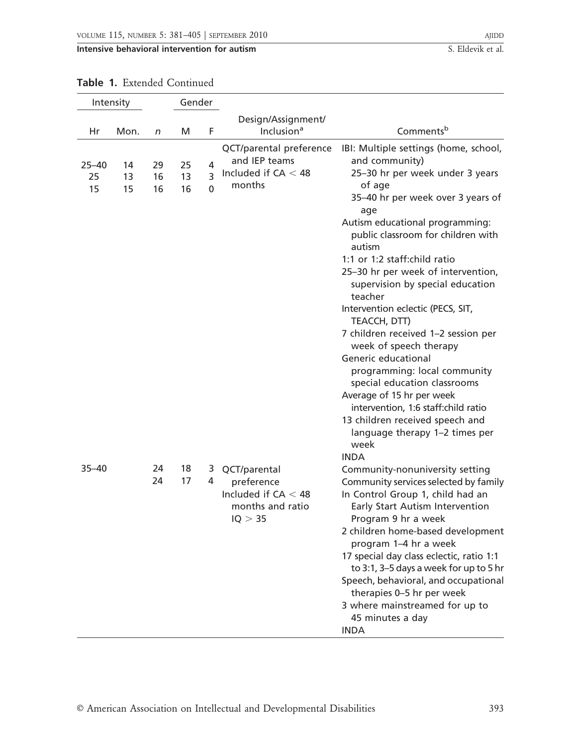|                       | Intensity<br>Gender |                |                |                    |                                                                                    |                                                                                                                                                                                                                                                                                                                                                                                                                                                                      |
|-----------------------|---------------------|----------------|----------------|--------------------|------------------------------------------------------------------------------------|----------------------------------------------------------------------------------------------------------------------------------------------------------------------------------------------------------------------------------------------------------------------------------------------------------------------------------------------------------------------------------------------------------------------------------------------------------------------|
| Hr                    | Mon.                | $\sqrt{n}$     | M              | F                  | Design/Assignment/<br>Inclusion <sup>a</sup>                                       | Comments <sup>b</sup>                                                                                                                                                                                                                                                                                                                                                                                                                                                |
| $25 - 40$<br>25<br>15 | 14<br>13<br>15      | 29<br>16<br>16 | 25<br>13<br>16 | 4<br>3<br>$\Omega$ | QCT/parental preference<br>and IEP teams<br>Included if $CA < 48$<br>months        | IBI: Multiple settings (home, school,<br>and community)<br>25-30 hr per week under 3 years<br>of age<br>35-40 hr per week over 3 years of<br>age<br>Autism educational programming:                                                                                                                                                                                                                                                                                  |
|                       |                     |                |                |                    |                                                                                    | public classroom for children with<br>autism<br>1:1 or 1:2 staff:child ratio<br>25-30 hr per week of intervention,<br>supervision by special education<br>teacher                                                                                                                                                                                                                                                                                                    |
|                       |                     |                |                |                    |                                                                                    | Intervention eclectic (PECS, SIT,<br>TEACCH, DTT)<br>7 children received 1-2 session per<br>week of speech therapy<br>Generic educational<br>programming: local community<br>special education classrooms<br>Average of 15 hr per week<br>intervention, 1:6 staff:child ratio<br>13 children received speech and<br>language therapy 1-2 times per<br>week<br><b>INDA</b>                                                                                            |
| $35 - 40$             |                     | 24<br>24       | 18<br>17       | 3<br>4             | QCT/parental<br>preference<br>Included if $CA < 48$<br>months and ratio<br>IQ > 35 | Community-nonuniversity setting<br>Community services selected by family<br>In Control Group 1, child had an<br>Early Start Autism Intervention<br>Program 9 hr a week<br>2 children home-based development<br>program 1-4 hr a week<br>17 special day class eclectic, ratio 1:1<br>to 3:1, 3-5 days a week for up to 5 hr<br>Speech, behavioral, and occupational<br>therapies 0-5 hr per week<br>3 where mainstreamed for up to<br>45 minutes a day<br><b>INDA</b> |

# Table 1. Extended Continued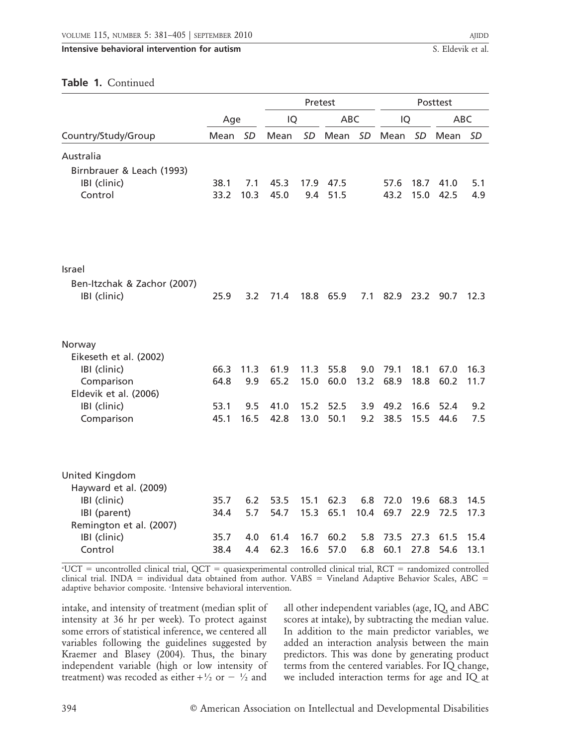### Table 1. Continued

|                             |      |           |      | Pretest   |            |           |      |           | Posttest   |      |  |  |  |
|-----------------------------|------|-----------|------|-----------|------------|-----------|------|-----------|------------|------|--|--|--|
|                             | Age  |           | IQ   |           | <b>ABC</b> |           | IQ   |           | <b>ABC</b> |      |  |  |  |
| Country/Study/Group         | Mean | <b>SD</b> | Mean | <b>SD</b> | Mean       | <b>SD</b> | Mean | <b>SD</b> | Mean       | SD   |  |  |  |
| Australia                   |      |           |      |           |            |           |      |           |            |      |  |  |  |
| Birnbrauer & Leach (1993)   |      |           |      |           |            |           |      |           |            |      |  |  |  |
| IBI (clinic)                | 38.1 | 7.1       | 45.3 | 17.9      | 47.5       |           | 57.6 | 18.7      | 41.0       | 5.1  |  |  |  |
| Control                     | 33.2 | 10.3      | 45.0 | 9.4       | 51.5       |           | 43.2 | 15.0      | 42.5       | 4.9  |  |  |  |
|                             |      |           |      |           |            |           |      |           |            |      |  |  |  |
| <b>Israel</b>               |      |           |      |           |            |           |      |           |            |      |  |  |  |
| Ben-Itzchak & Zachor (2007) |      |           |      |           |            |           |      |           |            |      |  |  |  |
| IBI (clinic)                | 25.9 | 3.2       | 71.4 | 18.8      | 65.9       | 7.1       | 82.9 | 23.2      | 90.7       | 12.3 |  |  |  |
| Norway                      |      |           |      |           |            |           |      |           |            |      |  |  |  |
| Eikeseth et al. (2002)      |      |           |      |           |            |           |      |           |            |      |  |  |  |
| IBI (clinic)                | 66.3 | 11.3      | 61.9 | 11.3      | 55.8       | 9.0       | 79.1 | 18.1      | 67.0       | 16.3 |  |  |  |
| Comparison                  | 64.8 | 9.9       | 65.2 | 15.0      | 60.0       | 13.2      | 68.9 | 18.8      | 60.2       | 11.7 |  |  |  |
| Eldevik et al. (2006)       |      |           |      |           |            |           |      |           |            |      |  |  |  |
| IBI (clinic)                | 53.1 | 9.5       | 41.0 | 15.2      | 52.5       | 3.9       | 49.2 | 16.6      | 52.4       | 9.2  |  |  |  |
| Comparison                  | 45.1 | 16.5      | 42.8 | 13.0      | 50.1       | 9.2       | 38.5 | 15.5      | 44.6       | 7.5  |  |  |  |
|                             |      |           |      |           |            |           |      |           |            |      |  |  |  |
| United Kingdom              |      |           |      |           |            |           |      |           |            |      |  |  |  |
| Hayward et al. (2009)       |      |           |      |           |            |           |      |           |            |      |  |  |  |
| IBI (clinic)                | 35.7 | 6.2       | 53.5 | 15.1      | 62.3       | 6.8       | 72.0 | 19.6      | 68.3       | 14.5 |  |  |  |
| IBI (parent)                | 34.4 | 5.7       | 54.7 | 15.3      | 65.1       | 10.4      | 69.7 | 22.9      | 72.5       | 17.3 |  |  |  |
| Remington et al. (2007)     |      |           |      |           |            |           |      |           |            |      |  |  |  |
| IBI (clinic)                | 35.7 | 4.0       | 61.4 | 16.7      | 60.2       | 5.8       | 73.5 | 27.3      | 61.5       | 15.4 |  |  |  |
| Control                     | 38.4 | 4.4       | 62.3 | 16.6      | 57.0       | 6.8       | 60.1 | 27.8      | 54.6       | 13.1 |  |  |  |

\*UCT = uncontrolled clinical trial, QCT = quasiexperimental controlled clinical trial, RCT = randomized controlled clinical trial. INDA = individual data obtained from author. VABS = Vineland Adaptive Behavior Scales, ABC = adaptive behavior composite. Intensive behavioral intervention.

intake, and intensity of treatment (median split of intensity at 36 hr per week). To protect against some errors of statistical inference, we centered all variables following the guidelines suggested by Kraemer and Blasey (2004). Thus, the binary independent variable (high or low intensity of treatment) was recoded as either  $+\frac{1}{2}$  or  $-\frac{1}{2}$  and

all other independent variables (age, IQ, and ABC scores at intake), by subtracting the median value. In addition to the main predictor variables, we added an interaction analysis between the main predictors. This was done by generating product terms from the centered variables. For IQ change, we included interaction terms for age and IQ at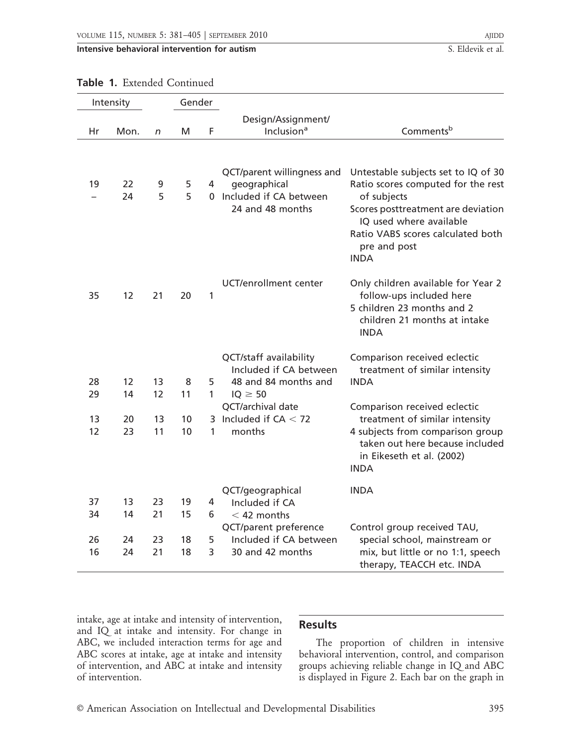|          | Intensity |            | Gender   |   |                                                                          |                                                                                                                                                  |  |  |  |  |  |  |
|----------|-----------|------------|----------|---|--------------------------------------------------------------------------|--------------------------------------------------------------------------------------------------------------------------------------------------|--|--|--|--|--|--|
| Hr       | Mon.      | $\sqrt{n}$ | M        | F | Design/Assignment/<br>Inclusion <sup>a</sup>                             | Comments <sup>b</sup>                                                                                                                            |  |  |  |  |  |  |
| 19       | 22        | 9          | 5        | 4 | QCT/parent willingness and<br>geographical                               | Untestable subjects set to IQ of 30<br>Ratio scores computed for the rest                                                                        |  |  |  |  |  |  |
|          | 24        | 5          | 5        |   | 0 Included if CA between<br>24 and 48 months                             | of subjects<br>Scores posttreatment are deviation<br>IQ used where available<br>Ratio VABS scores calculated both<br>pre and post<br><b>INDA</b> |  |  |  |  |  |  |
| 35       | 12        | 21         | 20       | 1 | UCT/enrollment center                                                    | Only children available for Year 2<br>follow-ups included here<br>5 children 23 months and 2<br>children 21 months at intake<br><b>INDA</b>      |  |  |  |  |  |  |
| 28       | 12        | 13         | 8        | 5 | QCT/staff availability<br>Included if CA between<br>48 and 84 months and | Comparison received eclectic<br>treatment of similar intensity<br><b>INDA</b>                                                                    |  |  |  |  |  |  |
| 29       | 14        | 12         | 11       | 1 | $IQ \geq 50$                                                             |                                                                                                                                                  |  |  |  |  |  |  |
| 13<br>12 | 20<br>23  | 13<br>11   | 10<br>10 | 1 | QCT/archival date<br>3 Included if $CA < 72$<br>months                   | Comparison received eclectic<br>treatment of similar intensity<br>4 subjects from comparison group                                               |  |  |  |  |  |  |
|          |           |            |          |   |                                                                          | taken out here because included<br>in Eikeseth et al. (2002)<br><b>INDA</b>                                                                      |  |  |  |  |  |  |
|          |           |            |          |   | QCT/geographical                                                         | <b>INDA</b>                                                                                                                                      |  |  |  |  |  |  |
| 37       | 13        | 23         | 19       | 4 | Included if CA                                                           |                                                                                                                                                  |  |  |  |  |  |  |
| 34       | 14        | 21         | 15       | 6 | $<$ 42 months<br>QCT/parent preference                                   | Control group received TAU,                                                                                                                      |  |  |  |  |  |  |
| 26       | 24        | 23         | 18       | 5 | Included if CA between                                                   | special school, mainstream or                                                                                                                    |  |  |  |  |  |  |
| 16       | 24        | 21         | 18       | 3 | 30 and 42 months                                                         | mix, but little or no 1:1, speech<br>therapy, TEACCH etc. INDA                                                                                   |  |  |  |  |  |  |

### Table 1. Extended Continued

intake, age at intake and intensity of intervention, and IQ at intake and intensity. For change in ABC, we included interaction terms for age and ABC scores at intake, age at intake and intensity of intervention, and ABC at intake and intensity of intervention.

# Results

The proportion of children in intensive behavioral intervention, control, and comparison groups achieving reliable change in IQ and ABC is displayed in Figure 2. Each bar on the graph in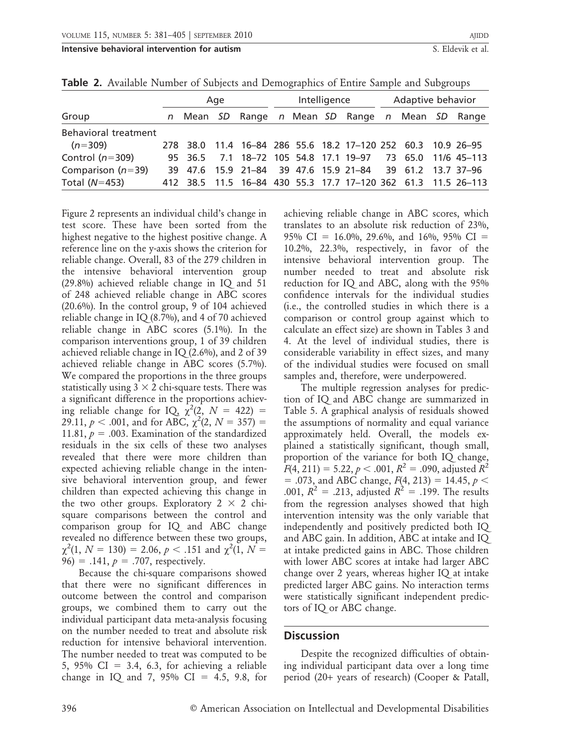|                      |  | Age |                                       | Intelligence |  |                                                               |  | Adaptive behavior |  |                     |  |
|----------------------|--|-----|---------------------------------------|--------------|--|---------------------------------------------------------------|--|-------------------|--|---------------------|--|
| Group                |  |     |                                       |              |  | n Mean SD Range n Mean SD Range n Mean SD Range               |  |                   |  |                     |  |
| Behavioral treatment |  |     |                                       |              |  |                                                               |  |                   |  |                     |  |
| $(n=309)$            |  |     |                                       |              |  | 278 38.0 11.4 16-84 286 55.6 18.2 17-120 252 60.3 10.9 26-95  |  |                   |  |                     |  |
| Control $(n=309)$    |  |     | 95 36.5 7.1 18-72 105 54.8 17.1 19-97 |              |  |                                                               |  |                   |  | 73 65.0 11/6 45-113 |  |
| Comparison $(n=39)$  |  |     |                                       |              |  | 39 47.6 15.9 21-84 39 47.6 15.9 21-84 39 61.2 13.7 37-96      |  |                   |  |                     |  |
| Total $(N=453)$      |  |     |                                       |              |  | 412 38.5 11.5 16-84 430 55.3 17.7 17-120 362 61.3 11.5 26-113 |  |                   |  |                     |  |

|  |  | Table 2. Available Number of Subjects and Demographics of Entire Sample and Subgroups |  |  |  |  |  |  |  |  |  |  |  |  |  |  |  |
|--|--|---------------------------------------------------------------------------------------|--|--|--|--|--|--|--|--|--|--|--|--|--|--|--|
|--|--|---------------------------------------------------------------------------------------|--|--|--|--|--|--|--|--|--|--|--|--|--|--|--|

Figure 2 represents an individual child's change in test score. These have been sorted from the highest negative to the highest positive change. A reference line on the y-axis shows the criterion for reliable change. Overall, 83 of the 279 children in the intensive behavioral intervention group (29.8%) achieved reliable change in IQ and 51 of 248 achieved reliable change in ABC scores (20.6%). In the control group, 9 of 104 achieved reliable change in IQ (8.7%), and 4 of 70 achieved reliable change in ABC scores (5.1%). In the comparison interventions group, 1 of 39 children achieved reliable change in IQ  $(2.6\%)$ , and 2 of 39 achieved reliable change in ABC scores (5.7%). We compared the proportions in the three groups statistically using  $3 \times 2$  chi-square tests. There was a significant difference in the proportions achieving reliable change for IQ,  $\chi^2(2, N = 422)$  = 29.11,  $p < .001$ , and for ABC,  $\chi^2(2, N = 357) =$ 11.81,  $p = .003$ . Examination of the standardized residuals in the six cells of these two analyses revealed that there were more children than expected achieving reliable change in the intensive behavioral intervention group, and fewer children than expected achieving this change in the two other groups. Exploratory  $2 \times 2$  chisquare comparisons between the control and comparison group for IQ and ABC change revealed no difference between these two groups,  $\chi^2(1,\,N=130)=$  2.06,  $p<.151$  and  $\chi^2(\overline{1},\,N=1)$ 96) = .141,  $p = .707$ , respectively.

Because the chi-square comparisons showed that there were no significant differences in outcome between the control and comparison groups, we combined them to carry out the individual participant data meta-analysis focusing on the number needed to treat and absolute risk reduction for intensive behavioral intervention. The number needed to treat was computed to be 5, 95% CI = 3.4, 6.3, for achieving a reliable change in IQ and 7, 95% CI = 4.5, 9.8, for achieving reliable change in ABC scores, which translates to an absolute risk reduction of 23%, 95% CI = 16.0%, 29.6%, and 16%, 95% CI = 10.2%, 22.3%, respectively, in favor of the intensive behavioral intervention group. The number needed to treat and absolute risk reduction for IQ and ABC, along with the 95% confidence intervals for the individual studies (i.e., the controlled studies in which there is a comparison or control group against which to calculate an effect size) are shown in Tables 3 and 4. At the level of individual studies, there is considerable variability in effect sizes, and many of the individual studies were focused on small samples and, therefore, were underpowered.

The multiple regression analyses for prediction of IQ and ABC change are summarized in Table 5. A graphical analysis of residuals showed the assumptions of normality and equal variance approximately held. Overall, the models explained a statistically significant, though small, proportion of the variance for both IQ change,  $F(4, 211) = 5.22, p < .001, R^2 = .090,$  adjusted  $R^2$ = .073, and ABC change,  $F(4, 213) = 14.45$ ,  $p <$ .001,  $R^2 = .213$ , adjusted  $R^2 = .199$ . The results from the regression analyses showed that high intervention intensity was the only variable that independently and positively predicted both IQ and ABC gain. In addition, ABC at intake and IQ at intake predicted gains in ABC. Those children with lower ABC scores at intake had larger ABC change over 2 years, whereas higher IQ at intake predicted larger ABC gains. No interaction terms were statistically significant independent predictors of IQ or ABC change.

# **Discussion**

Despite the recognized difficulties of obtaining individual participant data over a long time period (20+ years of research) (Cooper & Patall,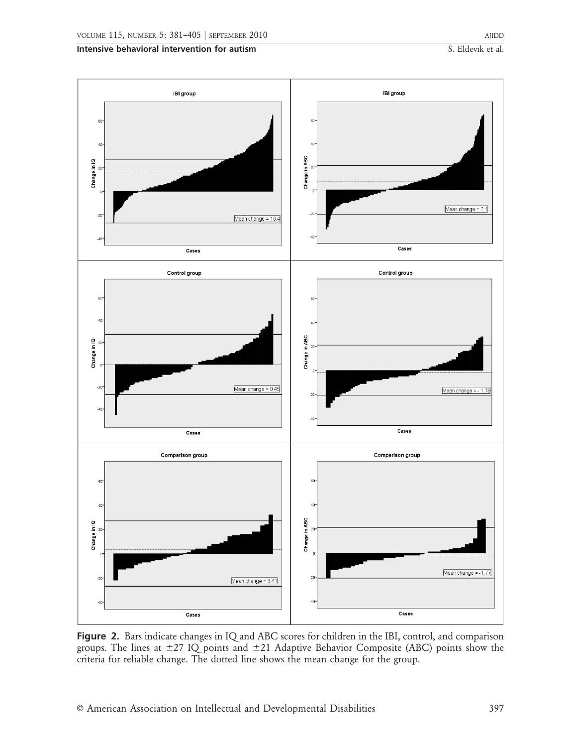

Figure 2. Bars indicate changes in IQ and ABC scores for children in the IBI, control, and comparison groups. The lines at  $\pm 27$  IQ points and  $\pm 21$  Adaptive Behavior Composite (ABC) points show the criteria for reliable change. The dotted line shows the mean change for the group.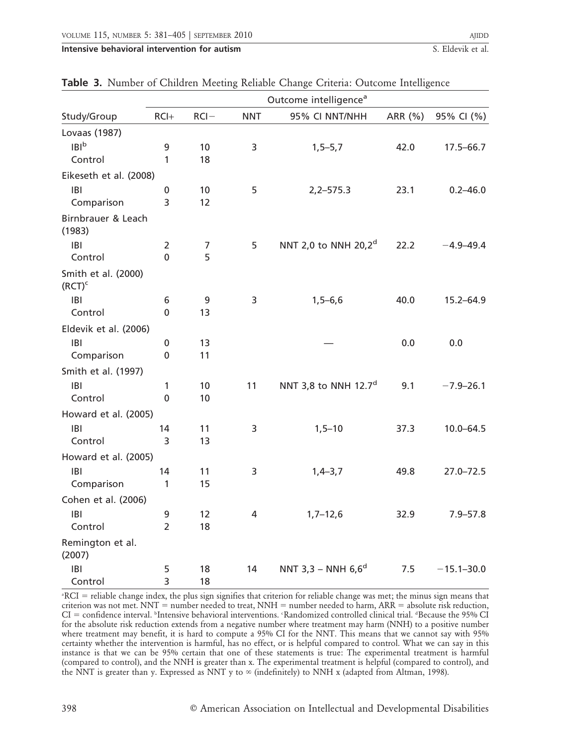Comparison Smith et al. (1997)

Howard et al. (2005)

Howard et al. (2005)

Cohen et al. (2006)

Remington et al.

(2007)

Control 0 10

Control 3 13

Comparison 1 15

Control 2 18

Control 3 18

|                                  | Outcome intelligence <sup>a</sup> |         |            |                                  |         |               |  |  |  |  |  |
|----------------------------------|-----------------------------------|---------|------------|----------------------------------|---------|---------------|--|--|--|--|--|
| Study/Group                      | $RCI+$                            | $RCI -$ | <b>NNT</b> | 95% CI NNT/NHH                   | ARR (%) | 95% CI (%)    |  |  |  |  |  |
| Lovaas (1987)                    |                                   |         |            |                                  |         |               |  |  |  |  |  |
| B  <sup>b</sup>                  | 9                                 | 10      | 3          | $1, 5 - 5, 7$                    | 42.0    | $17.5 - 66.7$ |  |  |  |  |  |
| Control                          | 1                                 | 18      |            |                                  |         |               |  |  |  |  |  |
| Eikeseth et al. (2008)           |                                   |         |            |                                  |         |               |  |  |  |  |  |
| <b>IBI</b>                       | 0                                 | 10      | 5          | $2,2 - 575.3$                    | 23.1    | $0.2 - 46.0$  |  |  |  |  |  |
| Comparison                       | 3                                 | 12      |            |                                  |         |               |  |  |  |  |  |
| Birnbrauer & Leach<br>(1983)     |                                   |         |            |                                  |         |               |  |  |  |  |  |
| IBI                              | $\overline{2}$                    | 7       | 5          | NNT 2,0 to NNH 20,2 <sup>d</sup> | 22.2    | $-4.9 - 49.4$ |  |  |  |  |  |
| Control                          | $\Omega$                          | 5       |            |                                  |         |               |  |  |  |  |  |
| Smith et al. (2000)<br>$(RCT)^c$ |                                   |         |            |                                  |         |               |  |  |  |  |  |
| <b>IBI</b>                       | 6                                 | 9       | 3          | $1,5-6,6$                        | 40.0    | $15.2 - 64.9$ |  |  |  |  |  |
| Control                          | $\Omega$                          | 13      |            |                                  |         |               |  |  |  |  |  |
| Eldevik et al. (2006)            |                                   |         |            |                                  |         |               |  |  |  |  |  |
| IBI                              | $\Omega$                          | 13      |            |                                  | 0.0     | 0.0           |  |  |  |  |  |
| Comparison                       | 0                                 | 11      |            |                                  |         |               |  |  |  |  |  |

|  | Table 3. Number of Children Meeting Reliable Change Criteria: Outcome Intelligence |  |  |  |  |  |  |  |
|--|------------------------------------------------------------------------------------|--|--|--|--|--|--|--|
|--|------------------------------------------------------------------------------------|--|--|--|--|--|--|--|

ACI = reliable change index, the plus sign signifies that criterion for reliable change was met; the minus sign means that criterion was not met. NNT = number needed to treat, NNH = number needed to harm, ARR = absolute risk reduction, CI = confidence interval. *'*Intensive behavioral interventions. 'Randomized controlled clinical trial. <sup>d</sup>Because the 95% CI for the absolute risk reduction extends from a negative number where treatment may harm (NNH) to a positive number where treatment may benefit, it is hard to compute a 95% CI for the NNT. This means that we cannot say with 95% certainty whether the intervention is harmful, has no effect, or is helpful compared to control. What we can say in this instance is that we can be 95% certain that one of these statements is true: The experimental treatment is harmful (compared to control), and the NNH is greater than x. The experimental treatment is helpful (compared to control), and the NNT is greater than y. Expressed as NNT y to  $\infty$  (indefinitely) to NNH x (adapted from Altman, 1998).

IBI 1 10 11 NNT 3,8 to NNH 12.7<sup>d</sup> 9.1  $-7.9-26.1$ 

IBI 14 11 3 1,5–10 37.3 10.0–64.5

IBI 14 11 3 1,4–3,7 49.8 27.0–72.5

IBI 9 12 4 1,7–12,6 32.9 7.9–57.8

IBI 5 18 14 NNT 3,3 – NNH 6,6<sup>d</sup> 7.5 – 15.1–30.0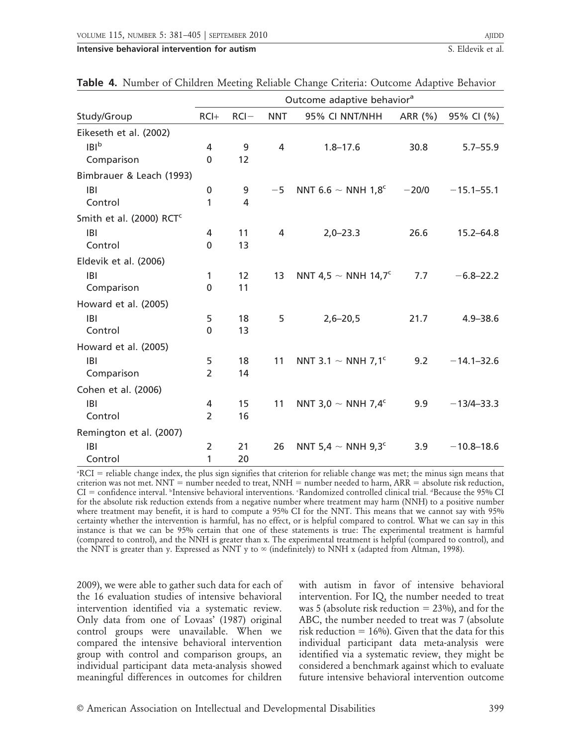|                          |                |                 |            | <b>OUTCOTTLE GUADLINE DETIGATOR</b> |                  |                |  |  |
|--------------------------|----------------|-----------------|------------|-------------------------------------|------------------|----------------|--|--|
| Study/Group              | $RCI+$         | $RCI -$         | <b>NNT</b> | 95% CI NNT/NHH                      | ARR (%)          | 95% CI (%)     |  |  |
| Eikeseth et al. (2002)   |                |                 |            |                                     |                  |                |  |  |
| IBI <sup>b</sup>         | 4              | 9               | 4          | $1.8 - 17.6$                        | 30.8             | $5.7 - 55.9$   |  |  |
| Comparison               | $\mathbf 0$    | 12              |            |                                     |                  |                |  |  |
| Bimbrauer & Leach (1993) |                |                 |            |                                     |                  |                |  |  |
| <b>IBI</b>               | 0              | 9               | $-5$       | NNT 6.6 $\sim$ NNH 1,8 $^{\circ}$   | $-20/0$          | $-15.1 - 55.1$ |  |  |
| Control                  | 1              | 4               |            |                                     |                  |                |  |  |
| Smith et al. (2000) RCTC |                |                 |            |                                     |                  |                |  |  |
| <b>IBI</b>               | 4              | 11              | 4          | $2,0-23.3$                          | 26.6             | $15.2 - 64.8$  |  |  |
| Control                  | $\mathbf{0}$   | 13              |            |                                     |                  |                |  |  |
| Eldevik et al. (2006)    |                |                 |            |                                     |                  |                |  |  |
| <b>IBI</b>               | $\mathbf{1}$   | 12 <sup>2</sup> | 13         | NNT 4,5 $\sim$ NNH 14,7 $^{\circ}$  | 7.7              | $-6.8 - 22.2$  |  |  |
| Comparison               | $\mathbf{0}$   | 11              |            |                                     |                  |                |  |  |
| Howard et al. (2005)     |                |                 |            |                                     |                  |                |  |  |
| <b>IBI</b>               | 5              | 18              | 5          | $2,6 - 20,5$                        | 21.7             | $4.9 - 38.6$   |  |  |
| Control                  | $\mathbf 0$    | 13              |            |                                     |                  |                |  |  |
| Howard et al. (2005)     |                |                 |            |                                     |                  |                |  |  |
| <b>IBI</b>               | 5              | 18              | 11         | NNT 3.1 $\sim$ NNH 7,1 <sup>c</sup> | 9.2              | $-14.1 - 32.6$ |  |  |
| Comparison               | $\overline{2}$ | 14              |            |                                     |                  |                |  |  |
| Cohen et al. (2006)      |                |                 |            |                                     |                  |                |  |  |
| <b>IBI</b>               | 4              | 15              | 11         | NNT 3,0 $\sim$ NNH 7,4 <sup>c</sup> | 9.9 <sub>1</sub> | $-13/4-33.3$   |  |  |
| Control                  | $\overline{2}$ | 16              |            |                                     |                  |                |  |  |
| Remington et al. (2007)  |                |                 |            |                                     |                  |                |  |  |
| <b>IBI</b>               | $\overline{2}$ | 21              | 26         | NNT 5,4 $\sim$ NNH 9,3°             | 3.9              | $-10.8 - 18.6$ |  |  |
| Control                  | 1              | 20              |            |                                     |                  |                |  |  |

|  |  | Table 4. Number of Children Meeting Reliable Change Criteria: Outcome Adaptive Behavior |  |  |  |  |  |  |  |  |
|--|--|-----------------------------------------------------------------------------------------|--|--|--|--|--|--|--|--|
|--|--|-----------------------------------------------------------------------------------------|--|--|--|--|--|--|--|--|

Outcome adaptive behavior<sup>a</sup>

ACI = reliable change index, the plus sign signifies that criterion for reliable change was met; the minus sign means that criterion was not met. NNT = number needed to treat, NNH = number needed to harm, ARR = absolute risk reduction, CI = confidence interval. *'*Intensive behavioral interventions. 'Randomized controlled clinical trial. <sup>d</sup>Because the 95% CI for the absolute risk reduction extends from a negative number where treatment may harm (NNH) to a positive number where treatment may benefit, it is hard to compute a 95% CI for the NNT. This means that we cannot say with 95% certainty whether the intervention is harmful, has no effect, or is helpful compared to control. What we can say in this instance is that we can be 95% certain that one of these statements is true: The experimental treatment is harmful (compared to control), and the NNH is greater than x. The experimental treatment is helpful (compared to control), and the NNT is greater than y. Expressed as NNT y to  $\infty$  (indefinitely) to NNH x (adapted from Altman, 1998).

2009), we were able to gather such data for each of the 16 evaluation studies of intensive behavioral intervention identified via a systematic review. Only data from one of Lovaas' (1987) original control groups were unavailable. When we compared the intensive behavioral intervention group with control and comparison groups, an individual participant data meta-analysis showed meaningful differences in outcomes for children

with autism in favor of intensive behavioral intervention. For IQ, the number needed to treat was 5 (absolute risk reduction  $= 23\%$ ), and for the ABC, the number needed to treat was 7 (absolute risk reduction  $= 16\%$ ). Given that the data for this individual participant data meta-analysis were identified via a systematic review, they might be considered a benchmark against which to evaluate future intensive behavioral intervention outcome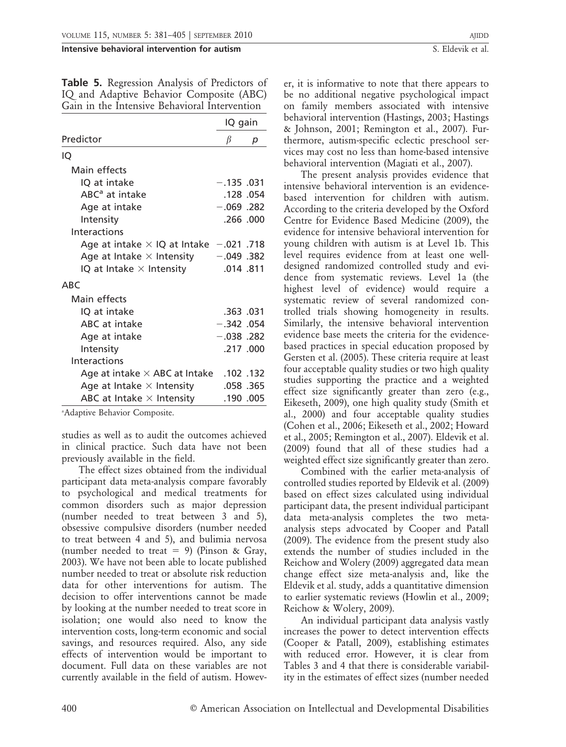Table 5. Regression Analysis of Predictors of IQ and Adaptive Behavior Composite (ABC) Gain in the Intensive Behavioral Intervention

|                                      | IQ gain      |          |
|--------------------------------------|--------------|----------|
| Predictor                            | β            | р        |
| IO                                   |              |          |
| Main effects                         |              |          |
| IQ at intake                         | $-.135.031$  |          |
| ABC <sup>a</sup> at intake           | .128.054     |          |
| Age at intake                        | $-.069.282$  |          |
| Intensity                            | .266.000     |          |
| <b>Interactions</b>                  |              |          |
| Age at intake $\times$ IQ at Intake  | $-.021$ .718 |          |
| Age at Intake $\times$ Intensity     | $-.049.382$  |          |
| IQ at Intake $\times$ Intensity      | .014 .811    |          |
| ABC.                                 |              |          |
| Main effects                         |              |          |
| IQ at intake                         | .363.031     |          |
| ABC at intake                        | $-.342.054$  |          |
| Age at intake                        | $-.038.282$  |          |
| Intensity                            |              | .217.000 |
| Interactions                         |              |          |
| Age at intake $\times$ ABC at Intake | .102.132     |          |
| Age at Intake $\times$ Intensity     |              | .058.365 |
| ABC at Intake $\times$ Intensity     |              | .190.005 |

a Adaptive Behavior Composite.

studies as well as to audit the outcomes achieved in clinical practice. Such data have not been previously available in the field.

The effect sizes obtained from the individual participant data meta-analysis compare favorably to psychological and medical treatments for common disorders such as major depression (number needed to treat between 3 and 5), obsessive compulsive disorders (number needed to treat between 4 and 5), and bulimia nervosa (number needed to treat = 9) (Pinson & Gray, 2003). We have not been able to locate published number needed to treat or absolute risk reduction data for other interventions for autism. The decision to offer interventions cannot be made by looking at the number needed to treat score in isolation; one would also need to know the intervention costs, long-term economic and social savings, and resources required. Also, any side effects of intervention would be important to document. Full data on these variables are not currently available in the field of autism. However, it is informative to note that there appears to be no additional negative psychological impact on family members associated with intensive behavioral intervention (Hastings, 2003; Hastings & Johnson, 2001; Remington et al., 2007). Furthermore, autism-specific eclectic preschool services may cost no less than home-based intensive behavioral intervention (Magiati et al., 2007).

The present analysis provides evidence that intensive behavioral intervention is an evidencebased intervention for children with autism. According to the criteria developed by the Oxford Centre for Evidence Based Medicine (2009), the evidence for intensive behavioral intervention for young children with autism is at Level 1b. This level requires evidence from at least one welldesigned randomized controlled study and evidence from systematic reviews. Level 1a (the highest level of evidence) would require a systematic review of several randomized controlled trials showing homogeneity in results. Similarly, the intensive behavioral intervention evidence base meets the criteria for the evidencebased practices in special education proposed by Gersten et al. (2005). These criteria require at least four acceptable quality studies or two high quality studies supporting the practice and a weighted effect size significantly greater than zero (e.g., Eikeseth, 2009), one high quality study (Smith et al., 2000) and four acceptable quality studies (Cohen et al., 2006; Eikeseth et al., 2002; Howard et al., 2005; Remington et al., 2007). Eldevik et al. (2009) found that all of these studies had a weighted effect size significantly greater than zero.

Combined with the earlier meta-analysis of controlled studies reported by Eldevik et al. (2009) based on effect sizes calculated using individual participant data, the present individual participant data meta-analysis completes the two metaanalysis steps advocated by Cooper and Patall (2009). The evidence from the present study also extends the number of studies included in the Reichow and Wolery (2009) aggregated data mean change effect size meta-analysis and, like the Eldevik et al. study, adds a quantitative dimension to earlier systematic reviews (Howlin et al., 2009; Reichow & Wolery, 2009).

An individual participant data analysis vastly increases the power to detect intervention effects (Cooper & Patall, 2009), establishing estimates with reduced error. However, it is clear from Tables 3 and 4 that there is considerable variability in the estimates of effect sizes (number needed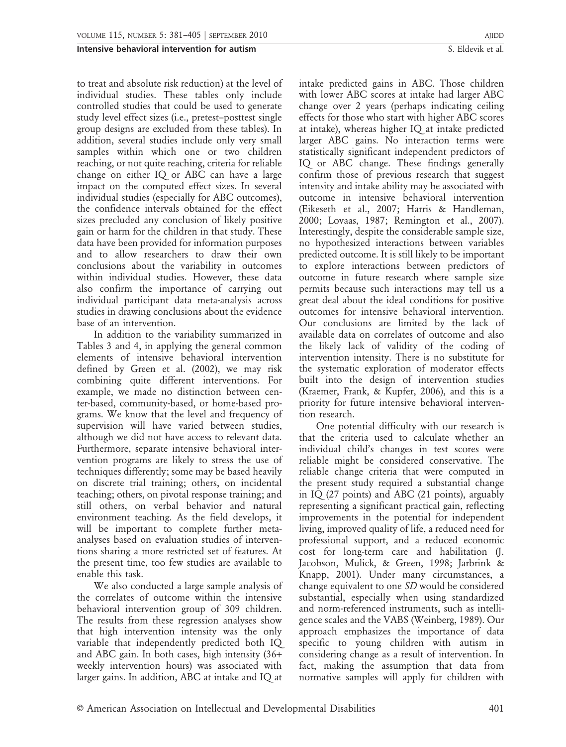to treat and absolute risk reduction) at the level of individual studies. These tables only include controlled studies that could be used to generate study level effect sizes (i.e., pretest–posttest single group designs are excluded from these tables). In addition, several studies include only very small samples within which one or two children reaching, or not quite reaching, criteria for reliable change on either IQ or ABC can have a large impact on the computed effect sizes. In several individual studies (especially for ABC outcomes), the confidence intervals obtained for the effect sizes precluded any conclusion of likely positive gain or harm for the children in that study. These data have been provided for information purposes and to allow researchers to draw their own conclusions about the variability in outcomes within individual studies. However, these data also confirm the importance of carrying out individual participant data meta-analysis across studies in drawing conclusions about the evidence base of an intervention.

In addition to the variability summarized in Tables 3 and 4, in applying the general common elements of intensive behavioral intervention defined by Green et al. (2002), we may risk combining quite different interventions. For example, we made no distinction between center-based, community-based, or home-based programs. We know that the level and frequency of supervision will have varied between studies, although we did not have access to relevant data. Furthermore, separate intensive behavioral intervention programs are likely to stress the use of techniques differently; some may be based heavily on discrete trial training; others, on incidental teaching; others, on pivotal response training; and still others, on verbal behavior and natural environment teaching. As the field develops, it will be important to complete further metaanalyses based on evaluation studies of interventions sharing a more restricted set of features. At the present time, too few studies are available to enable this task.

We also conducted a large sample analysis of the correlates of outcome within the intensive behavioral intervention group of 309 children. The results from these regression analyses show that high intervention intensity was the only variable that independently predicted both IQ and ABC gain. In both cases, high intensity (36+ weekly intervention hours) was associated with larger gains. In addition, ABC at intake and IQ at

intake predicted gains in ABC. Those children with lower ABC scores at intake had larger ABC change over 2 years (perhaps indicating ceiling effects for those who start with higher ABC scores at intake), whereas higher IQ at intake predicted larger ABC gains. No interaction terms were statistically significant independent predictors of IQ or ABC change. These findings generally confirm those of previous research that suggest intensity and intake ability may be associated with outcome in intensive behavioral intervention (Eikeseth et al., 2007; Harris & Handleman, 2000; Lovaas, 1987; Remington et al., 2007). Interestingly, despite the considerable sample size, no hypothesized interactions between variables predicted outcome. It is still likely to be important to explore interactions between predictors of outcome in future research where sample size permits because such interactions may tell us a great deal about the ideal conditions for positive outcomes for intensive behavioral intervention. Our conclusions are limited by the lack of available data on correlates of outcome and also the likely lack of validity of the coding of intervention intensity. There is no substitute for the systematic exploration of moderator effects built into the design of intervention studies (Kraemer, Frank, & Kupfer, 2006), and this is a priority for future intensive behavioral intervention research.

One potential difficulty with our research is that the criteria used to calculate whether an individual child's changes in test scores were reliable might be considered conservative. The reliable change criteria that were computed in the present study required a substantial change in IQ (27 points) and ABC (21 points), arguably representing a significant practical gain, reflecting improvements in the potential for independent living, improved quality of life, a reduced need for professional support, and a reduced economic cost for long-term care and habilitation (J. Jacobson, Mulick, & Green, 1998; Jarbrink & Knapp, 2001). Under many circumstances, a change equivalent to one SD would be considered substantial, especially when using standardized and norm-referenced instruments, such as intelligence scales and the VABS (Weinberg, 1989). Our approach emphasizes the importance of data specific to young children with autism in considering change as a result of intervention. In fact, making the assumption that data from normative samples will apply for children with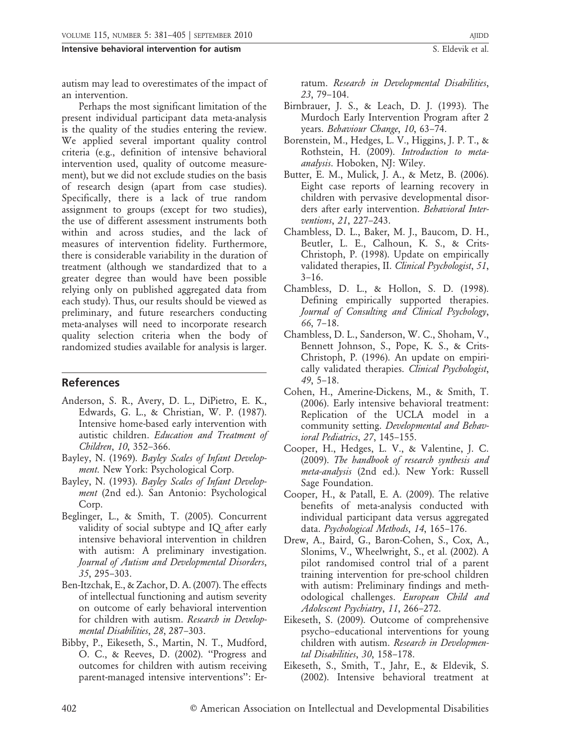autism may lead to overestimates of the impact of an intervention.

Perhaps the most significant limitation of the present individual participant data meta-analysis is the quality of the studies entering the review. We applied several important quality control criteria (e.g., definition of intensive behavioral intervention used, quality of outcome measurement), but we did not exclude studies on the basis of research design (apart from case studies). Specifically, there is a lack of true random assignment to groups (except for two studies), the use of different assessment instruments both within and across studies, and the lack of measures of intervention fidelity. Furthermore, there is considerable variability in the duration of treatment (although we standardized that to a greater degree than would have been possible relying only on published aggregated data from each study). Thus, our results should be viewed as preliminary, and future researchers conducting meta-analyses will need to incorporate research quality selection criteria when the body of randomized studies available for analysis is larger.

# References

- Anderson, S. R., Avery, D. L., DiPietro, E. K., Edwards, G. L., & Christian, W. P. (1987). Intensive home-based early intervention with autistic children. Education and Treatment of Children, 10, 352–366.
- Bayley, N. (1969). Bayley Scales of Infant Development. New York: Psychological Corp.
- Bayley, N. (1993). Bayley Scales of Infant Development (2nd ed.). San Antonio: Psychological Corp.
- Beglinger, L., & Smith, T. (2005). Concurrent validity of social subtype and IQ after early intensive behavioral intervention in children with autism: A preliminary investigation. Journal of Autism and Developmental Disorders, 35, 295–303.
- Ben-Itzchak, E., & Zachor, D. A. (2007). The effects of intellectual functioning and autism severity on outcome of early behavioral intervention for children with autism. Research in Developmental Disabilities, 28, 287–303.
- Bibby, P., Eikeseth, S., Martin, N. T., Mudford, O. C., & Reeves, D. (2002). ''Progress and outcomes for children with autism receiving parent-managed intensive interventions'': Er-

ratum. Research in Developmental Disabilities, 23, 79–104.

- Birnbrauer, J. S., & Leach, D. J. (1993). The Murdoch Early Intervention Program after 2 years. Behaviour Change, 10, 63–74.
- Borenstein, M., Hedges, L. V., Higgins, J. P. T., & Rothstein, H. (2009). Introduction to metaanalysis. Hoboken, NJ: Wiley.
- Butter, E. M., Mulick, J. A., & Metz, B. (2006). Eight case reports of learning recovery in children with pervasive developmental disorders after early intervention. Behavioral Interventions, 21, 227–243.
- Chambless, D. L., Baker, M. J., Baucom, D. H., Beutler, L. E., Calhoun, K. S., & Crits-Christoph, P. (1998). Update on empirically validated therapies, II. Clinical Psychologist, 51,  $3-16.$
- Chambless, D. L., & Hollon, S. D. (1998). Defining empirically supported therapies. Journal of Consulting and Clinical Psychology, 66, 7–18.
- Chambless, D. L., Sanderson, W. C., Shoham, V., Bennett Johnson, S., Pope, K. S., & Crits-Christoph, P. (1996). An update on empirically validated therapies. Clinical Psychologist, 49, 5–18.
- Cohen, H., Amerine-Dickens, M., & Smith, T. (2006). Early intensive behavioral treatment: Replication of the UCLA model in a community setting. Developmental and Behavioral Pediatrics, 27, 145–155.
- Cooper, H., Hedges, L. V., & Valentine, J. C. (2009). The handbook of research synthesis and meta-analysis (2nd ed.). New York: Russell Sage Foundation.
- Cooper, H., & Patall, E. A. (2009). The relative benefits of meta-analysis conducted with individual participant data versus aggregated data. Psychological Methods, 14, 165–176.
- Drew, A., Baird, G., Baron-Cohen, S., Cox, A., Slonims, V., Wheelwright, S., et al. (2002). A pilot randomised control trial of a parent training intervention for pre-school children with autism: Preliminary findings and methodological challenges. European Child and Adolescent Psychiatry, 11, 266–272.
- Eikeseth, S. (2009). Outcome of comprehensive psycho–educational interventions for young children with autism. Research in Developmental Disabilities, 30, 158–178.
- Eikeseth, S., Smith, T., Jahr, E., & Eldevik, S. (2002). Intensive behavioral treatment at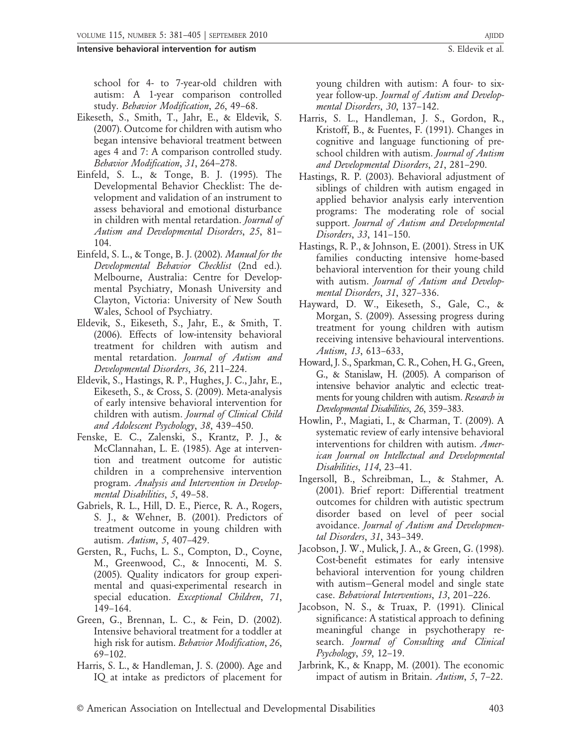school for 4- to 7-year-old children with autism: A 1-year comparison controlled study. Behavior Modification, 26, 49–68.

- Eikeseth, S., Smith, T., Jahr, E., & Eldevik, S. (2007). Outcome for children with autism who began intensive behavioral treatment between ages 4 and 7: A comparison controlled study. Behavior Modification, 31, 264–278.
- Einfeld, S. L., & Tonge, B. J. (1995). The Developmental Behavior Checklist: The development and validation of an instrument to assess behavioral and emotional disturbance in children with mental retardation. Journal of Autism and Developmental Disorders, 25, 81– 104.
- Einfeld, S. L., & Tonge, B. J. (2002). Manual for the Developmental Behavior Checklist (2nd ed.). Melbourne, Australia: Centre for Developmental Psychiatry, Monash University and Clayton, Victoria: University of New South Wales, School of Psychiatry.
- Eldevik, S., Eikeseth, S., Jahr, E., & Smith, T. (2006). Effects of low-intensity behavioral treatment for children with autism and mental retardation. Journal of Autism and Developmental Disorders, 36, 211–224.
- Eldevik, S., Hastings, R. P., Hughes, J. C., Jahr, E., Eikeseth, S., & Cross, S. (2009). Meta-analysis of early intensive behavioral intervention for children with autism. Journal of Clinical Child and Adolescent Psychology, 38, 439–450.
- Fenske, E. C., Zalenski, S., Krantz, P. J., & McClannahan, L. E. (1985). Age at intervention and treatment outcome for autistic children in a comprehensive intervention program. Analysis and Intervention in Developmental Disabilities, 5, 49–58.
- Gabriels, R. L., Hill, D. E., Pierce, R. A., Rogers, S. J., & Wehner, B. (2001). Predictors of treatment outcome in young children with autism. Autism, 5, 407–429.
- Gersten, R., Fuchs, L. S., Compton, D., Coyne, M., Greenwood, C., & Innocenti, M. S. (2005). Quality indicators for group experimental and quasi-experimental research in special education. Exceptional Children, 71, 149–164.
- Green, G., Brennan, L. C., & Fein, D. (2002). Intensive behavioral treatment for a toddler at high risk for autism. Behavior Modification, 26, 69–102.
- Harris, S. L., & Handleman, J. S. (2000). Age and IQ at intake as predictors of placement for

young children with autism: A four- to sixyear follow-up. Journal of Autism and Developmental Disorders, 30, 137–142.

- Harris, S. L., Handleman, J. S., Gordon, R., Kristoff, B., & Fuentes, F. (1991). Changes in cognitive and language functioning of preschool children with autism. Journal of Autism and Developmental Disorders, 21, 281–290.
- Hastings, R. P. (2003). Behavioral adjustment of siblings of children with autism engaged in applied behavior analysis early intervention programs: The moderating role of social support. Journal of Autism and Developmental Disorders, 33, 141–150.
- Hastings, R. P., & Johnson, E. (2001). Stress in UK families conducting intensive home-based behavioral intervention for their young child with autism. Journal of Autism and Developmental Disorders, 31, 327–336.
- Hayward, D. W., Eikeseth, S., Gale, C., & Morgan, S. (2009). Assessing progress during treatment for young children with autism receiving intensive behavioural interventions. Autism, 13, 613–633,
- Howard, J. S., Sparkman, C. R., Cohen, H. G., Green, G., & Stanislaw, H. (2005). A comparison of intensive behavior analytic and eclectic treatments for young children with autism. Research in Developmental Disabilities, 26, 359–383.
- Howlin, P., Magiati, I., & Charman, T. (2009). A systematic review of early intensive behavioral interventions for children with autism. American Journal on Intellectual and Developmental Disabilities, 114, 23–41.
- Ingersoll, B., Schreibman, L., & Stahmer, A. (2001). Brief report: Differential treatment outcomes for children with autistic spectrum disorder based on level of peer social avoidance. Journal of Autism and Developmental Disorders, 31, 343–349.
- Jacobson, J. W., Mulick, J. A., & Green, G. (1998). Cost-benefit estimates for early intensive behavioral intervention for young children with autism—General model and single state case. Behavioral Interventions, 13, 201–226.
- Jacobson, N. S., & Truax, P. (1991). Clinical significance: A statistical approach to defining meaningful change in psychotherapy research. Journal of Consulting and Clinical Psychology, 59, 12–19.
- Jarbrink, K., & Knapp, M. (2001). The economic impact of autism in Britain. Autism, 5, 7–22.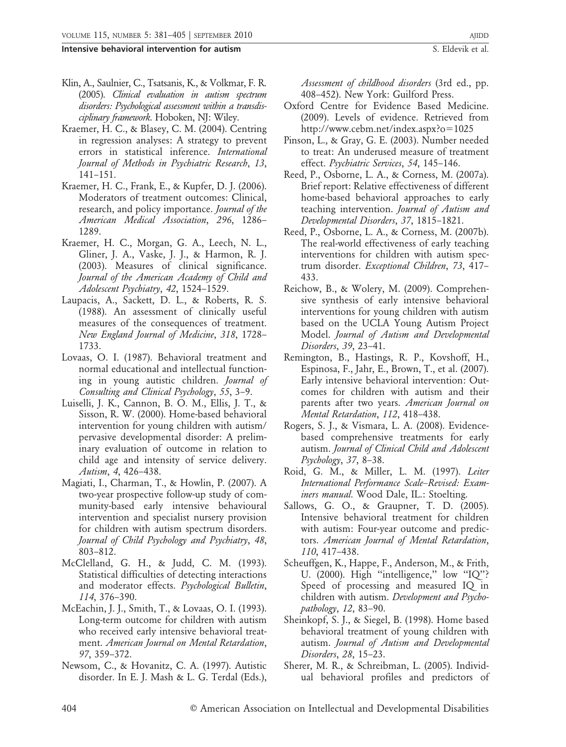- Klin, A., Saulnier, C., Tsatsanis, K., & Volkmar, F. R. (2005). Clinical evaluation in autism spectrum disorders: Psychological assessment within a transdisciplinary framework. Hoboken, NJ: Wiley.
- Kraemer, H. C., & Blasey, C. M. (2004). Centring in regression analyses: A strategy to prevent errors in statistical inference. International Journal of Methods in Psychiatric Research, 13, 141–151.
- Kraemer, H. C., Frank, E., & Kupfer, D. J. (2006). Moderators of treatment outcomes: Clinical, research, and policy importance. Journal of the American Medical Association, 296, 1286– 1289.
- Kraemer, H. C., Morgan, G. A., Leech, N. L., Gliner, J. A., Vaske, J. J., & Harmon, R. J. (2003). Measures of clinical significance. Journal of the American Academy of Child and Adolescent Psychiatry, 42, 1524–1529.
- Laupacis, A., Sackett, D. L., & Roberts, R. S. (1988). An assessment of clinically useful measures of the consequences of treatment. New England Journal of Medicine, 318, 1728– 1733.
- Lovaas, O. I. (1987). Behavioral treatment and normal educational and intellectual functioning in young autistic children. Journal of Consulting and Clinical Psychology, 55, 3–9.
- Luiselli, J. K., Cannon, B. O. M., Ellis, J. T., & Sisson, R. W. (2000). Home-based behavioral intervention for young children with autism/ pervasive developmental disorder: A preliminary evaluation of outcome in relation to child age and intensity of service delivery. Autism, 4, 426–438.
- Magiati, I., Charman, T., & Howlin, P. (2007). A two-year prospective follow-up study of community-based early intensive behavioural intervention and specialist nursery provision for children with autism spectrum disorders. Journal of Child Psychology and Psychiatry, 48, 803–812.
- McClelland, G. H., & Judd, C. M. (1993). Statistical difficulties of detecting interactions and moderator effects. Psychological Bulletin, 114, 376–390.
- McEachin, J. J., Smith, T., & Lovaas, O. I. (1993). Long-term outcome for children with autism who received early intensive behavioral treatment. American Journal on Mental Retardation, 97, 359–372.
- Newsom, C., & Hovanitz, C. A. (1997). Autistic disorder. In E. J. Mash & L. G. Terdal (Eds.),

Assessment of childhood disorders (3rd ed., pp. 408–452). New York: Guilford Press.

- Oxford Centre for Evidence Based Medicine. (2009). Levels of evidence. Retrieved from http://www.cebm.net/index.aspx?o=1025
- Pinson, L., & Gray, G. E. (2003). Number needed to treat: An underused measure of treatment effect. Psychiatric Services, 54, 145–146.
- Reed, P., Osborne, L. A., & Corness, M. (2007a). Brief report: Relative effectiveness of different home-based behavioral approaches to early teaching intervention. Journal of Autism and Developmental Disorders, 37, 1815–1821.
- Reed, P., Osborne, L. A., & Corness, M. (2007b). The real-world effectiveness of early teaching interventions for children with autism spectrum disorder. Exceptional Children, 73, 417– 433.
- Reichow, B., & Wolery, M. (2009). Comprehensive synthesis of early intensive behavioral interventions for young children with autism based on the UCLA Young Autism Project Model. Journal of Autism and Developmental Disorders, 39, 23–41.
- Remington, B., Hastings, R. P., Kovshoff, H., Espinosa, F., Jahr, E., Brown, T., et al. (2007). Early intensive behavioral intervention: Outcomes for children with autism and their parents after two years. American Journal on Mental Retardation, 112, 418–438.
- Rogers, S. J., & Vismara, L. A. (2008). Evidencebased comprehensive treatments for early autism. Journal of Clinical Child and Adolescent Psychology, 37, 8–38.
- Roid, G. M., & Miller, L. M. (1997). Leiter International Performance Scale–Revised: Examiners manual. Wood Dale, IL.: Stoelting.
- Sallows, G. O., & Graupner, T. D. (2005). Intensive behavioral treatment for children with autism: Four-year outcome and predictors. American Journal of Mental Retardation, 110, 417–438.
- Scheuffgen, K., Happe, F., Anderson, M., & Frith, U. (2000). High "intelligence," low "IQ"? Speed of processing and measured IQ in children with autism. Development and Psychopathology, 12, 83–90.
- Sheinkopf, S. J., & Siegel, B. (1998). Home based behavioral treatment of young children with autism. Journal of Autism and Developmental Disorders, 28, 15–23.
- Sherer, M. R., & Schreibman, L. (2005). Individual behavioral profiles and predictors of